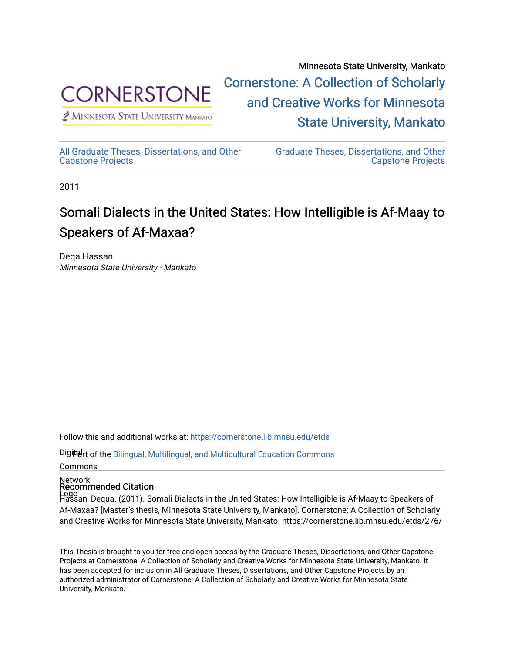

 $<sup>2</sup>$  Minnesota State University Mankato</sup>

Minnesota State University, Mankato [Cornerstone: A Collection of Scholarly](https://cornerstone.lib.mnsu.edu/)  [and Creative Works for Minnesota](https://cornerstone.lib.mnsu.edu/)  [State University, Mankato](https://cornerstone.lib.mnsu.edu/) 

[All Graduate Theses, Dissertations, and Other](https://cornerstone.lib.mnsu.edu/etds)  [Capstone Projects](https://cornerstone.lib.mnsu.edu/etds) 

[Graduate Theses, Dissertations, and Other](https://cornerstone.lib.mnsu.edu/theses_dissertations-capstone)  [Capstone Projects](https://cornerstone.lib.mnsu.edu/theses_dissertations-capstone) 

2011

# Somali Dialects in the United States: How Intelligible is Af-Maay to Speakers of Af-Maxaa?

Deqa Hassan Minnesota State University - Mankato

Follow this and additional works at: [https://cornerstone.lib.mnsu.edu/etds](https://cornerstone.lib.mnsu.edu/etds?utm_source=cornerstone.lib.mnsu.edu%2Fetds%2F276&utm_medium=PDF&utm_campaign=PDFCoverPages) 

Digitart of the Bilingual, Multilingual, and Multicultural Education Commons

Commons

# Network Recommended Citation

Logo Hassan, Dequa. (2011). Somali Dialects in the United States: How Intelligible is Af-Maay to Speakers of Af-Maxaa? [Master's thesis, Minnesota State University, Mankato]. Cornerstone: A Collection of Scholarly and Creative Works for Minnesota State University, Mankato. https://cornerstone.lib.mnsu.edu/etds/276/

This Thesis is brought to you for free and open access by the Graduate Theses, Dissertations, and Other Capstone Projects at Cornerstone: A Collection of Scholarly and Creative Works for Minnesota State University, Mankato. It has been accepted for inclusion in All Graduate Theses, Dissertations, and Other Capstone Projects by an authorized administrator of Cornerstone: A Collection of Scholarly and Creative Works for Minnesota State University, Mankato.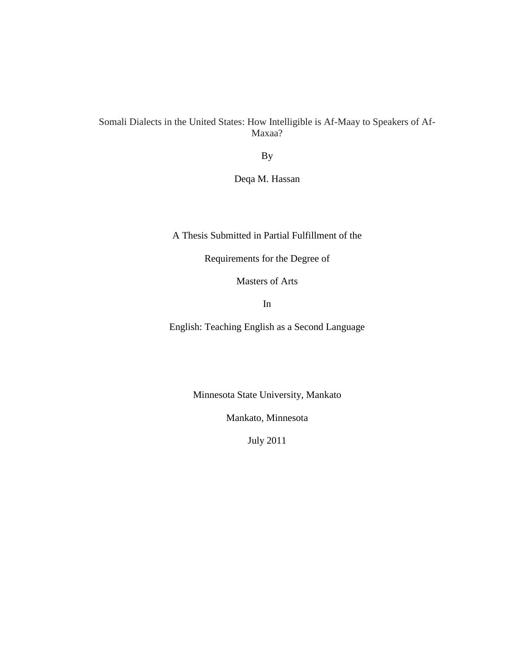Somali Dialects in the United States: How Intelligible is Af-Maay to Speakers of Af-Maxaa?

By

Deqa M. Hassan

A Thesis Submitted in Partial Fulfillment of the

Requirements for the Degree of

Masters of Arts

In

English: Teaching English as a Second Language

Minnesota State University, Mankato

Mankato, Minnesota

July 2011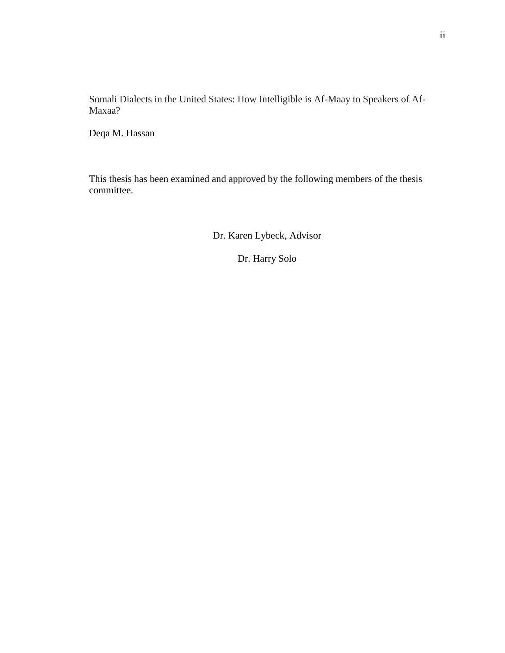Somali Dialects in the United States: How Intelligible is Af-Maay to Speakers of Af-Maxaa?

Deqa M. Hassan

This thesis has been examined and approved by the following members of the thesis committee.

Dr. Karen Lybeck, Advisor

Dr. Harry Solo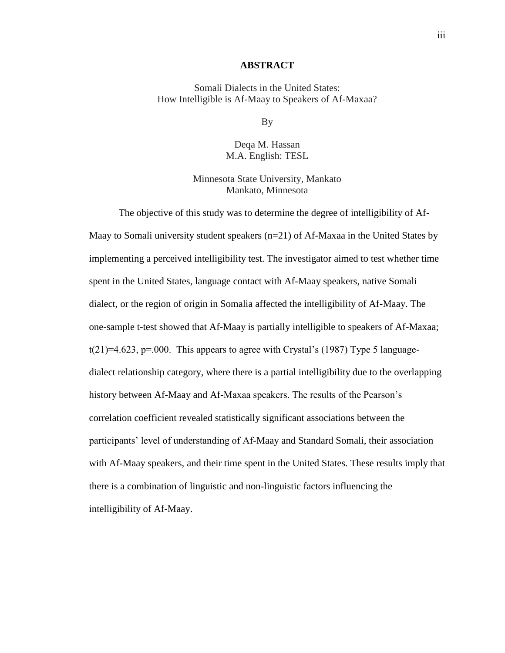#### **ABSTRACT**

Somali Dialects in the United States: How Intelligible is Af-Maay to Speakers of Af-Maxaa?

By

Deqa M. Hassan M.A. English: TESL

Minnesota State University, Mankato Mankato, Minnesota

The objective of this study was to determine the degree of intelligibility of Af-Maay to Somali university student speakers (n=21) of Af-Maxaa in the United States by implementing a perceived intelligibility test. The investigator aimed to test whether time spent in the United States, language contact with Af-Maay speakers, native Somali dialect, or the region of origin in Somalia affected the intelligibility of Af-Maay. The one-sample t-test showed that Af-Maay is partially intelligible to speakers of Af-Maxaa;  $t(21)=4.623$ ,  $p=.000$ . This appears to agree with Crystal's (1987) Type 5 languagedialect relationship category, where there is a partial intelligibility due to the overlapping history between Af-Maay and Af-Maxaa speakers. The results of the Pearson's correlation coefficient revealed statistically significant associations between the participants' level of understanding of Af-Maay and Standard Somali, their association with Af-Maay speakers, and their time spent in the United States. These results imply that there is a combination of linguistic and non-linguistic factors influencing the intelligibility of Af-Maay.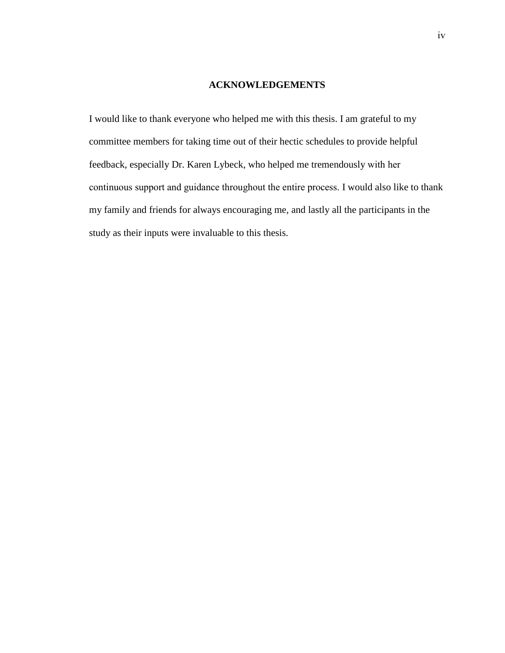#### **ACKNOWLEDGEMENTS**

I would like to thank everyone who helped me with this thesis. I am grateful to my committee members for taking time out of their hectic schedules to provide helpful feedback, especially Dr. Karen Lybeck, who helped me tremendously with her continuous support and guidance throughout the entire process. I would also like to thank my family and friends for always encouraging me, and lastly all the participants in the study as their inputs were invaluable to this thesis.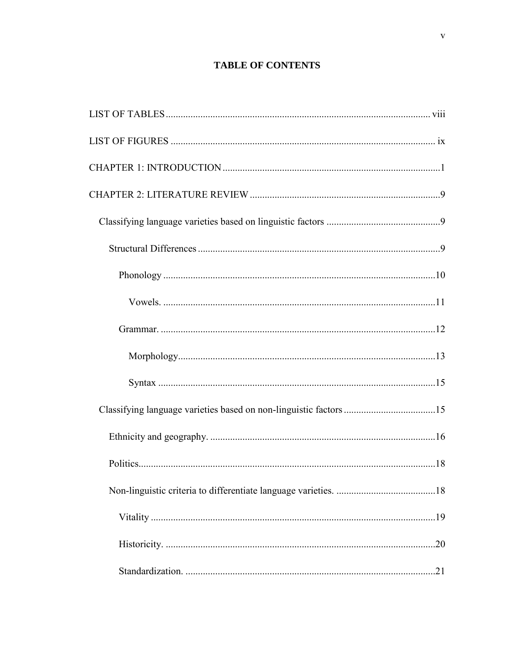## **TABLE OF CONTENTS**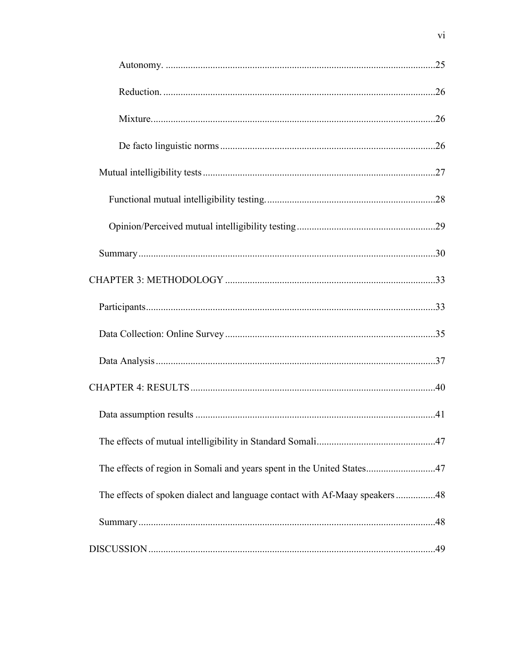| The effects of region in Somali and years spent in the United States47      |  |
|-----------------------------------------------------------------------------|--|
| The effects of spoken dialect and language contact with Af-Maay speakers 48 |  |
|                                                                             |  |
|                                                                             |  |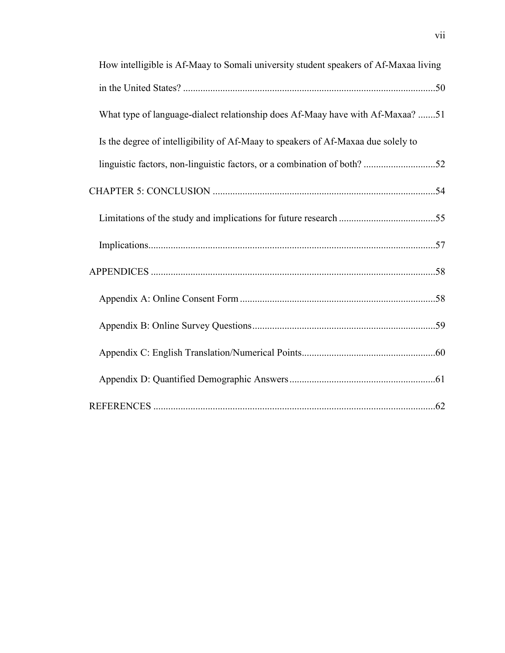| How intelligible is Af-Maay to Somali university student speakers of Af-Maxaa living |  |
|--------------------------------------------------------------------------------------|--|
|                                                                                      |  |
| What type of language-dialect relationship does Af-Maay have with Af-Maxaa? 51       |  |
| Is the degree of intelligibility of Af-Maay to speakers of Af-Maxaa due solely to    |  |
| linguistic factors, non-linguistic factors, or a combination of both? 52             |  |
|                                                                                      |  |
|                                                                                      |  |
|                                                                                      |  |
|                                                                                      |  |
|                                                                                      |  |
|                                                                                      |  |
|                                                                                      |  |
|                                                                                      |  |
|                                                                                      |  |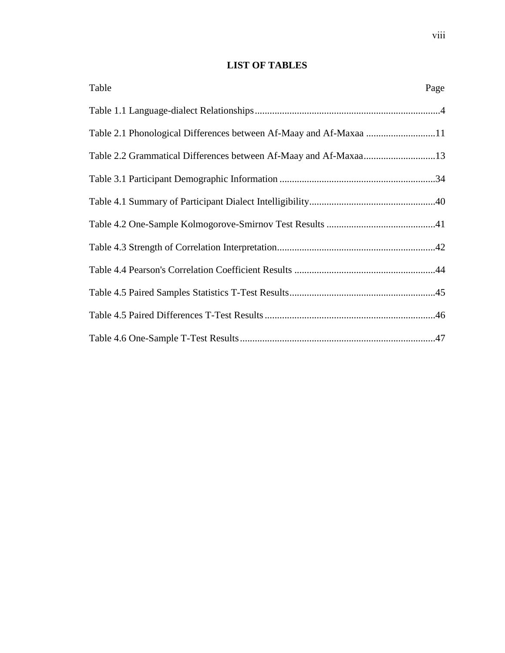## **LIST OF TABLES**

<span id="page-8-0"></span>

| Table                                                              | Page |
|--------------------------------------------------------------------|------|
|                                                                    |      |
| Table 2.1 Phonological Differences between Af-Maay and Af-Maxaa 11 |      |
| Table 2.2 Grammatical Differences between Af-Maay and Af-Maxaa13   |      |
|                                                                    |      |
|                                                                    |      |
|                                                                    |      |
|                                                                    |      |
|                                                                    |      |
|                                                                    |      |
|                                                                    |      |
|                                                                    |      |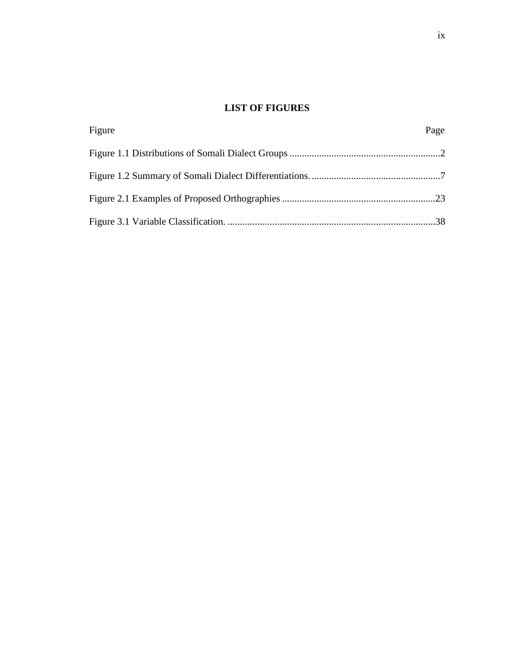## **LIST OF FIGURES**

<span id="page-9-0"></span>

| Figure | Page |
|--------|------|
|        |      |
|        |      |
|        |      |
|        |      |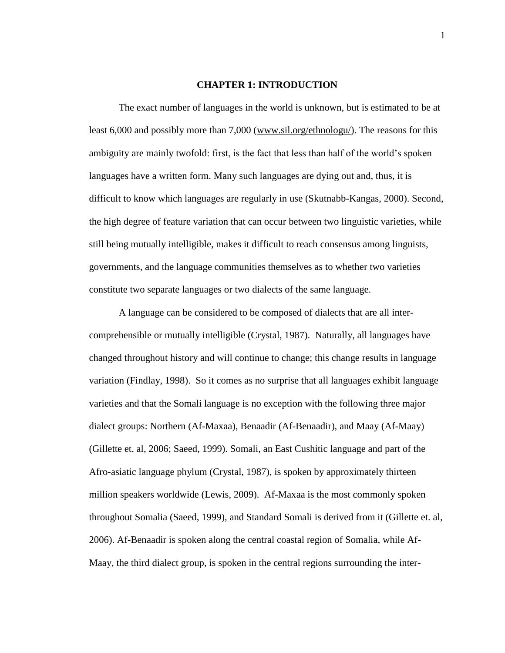#### **CHAPTER 1: INTRODUCTION**

<span id="page-10-0"></span>The exact number of languages in the world is unknown, but is estimated to be at least 6,000 and possibly more than 7,000 [\(www.sil.org/ethnologu/\)](http://www.sil.org/ethnologu/). The reasons for this ambiguity are mainly twofold: first, is the fact that less than half of the world's spoken languages have a written form. Many such languages are dying out and, thus, it is difficult to know which languages are regularly in use (Skutnabb-Kangas, 2000). Second, the high degree of feature variation that can occur between two linguistic varieties, while still being mutually intelligible, makes it difficult to reach consensus among linguists, governments, and the language communities themselves as to whether two varieties constitute two separate languages or two dialects of the same language.

A language can be considered to be composed of dialects that are all intercomprehensible or mutually intelligible (Crystal, 1987). Naturally, all languages have changed throughout history and will continue to change; this change results in language variation (Findlay, 1998). So it comes as no surprise that all languages exhibit language varieties and that the Somali language is no exception with the following three major dialect groups: Northern (Af-Maxaa), Benaadir (Af-Benaadir), and Maay (Af-Maay) (Gillette et. al, 2006; Saeed, 1999). Somali, an East Cushitic language and part of the Afro-asiatic language phylum (Crystal, 1987), is spoken by approximately thirteen million speakers worldwide (Lewis, 2009). Af-Maxaa is the most commonly spoken throughout Somalia (Saeed, 1999), and Standard Somali is derived from it (Gillette et. al, 2006). Af-Benaadir is spoken along the central coastal region of Somalia, while Af-Maay, the third dialect group, is spoken in the central regions surrounding the inter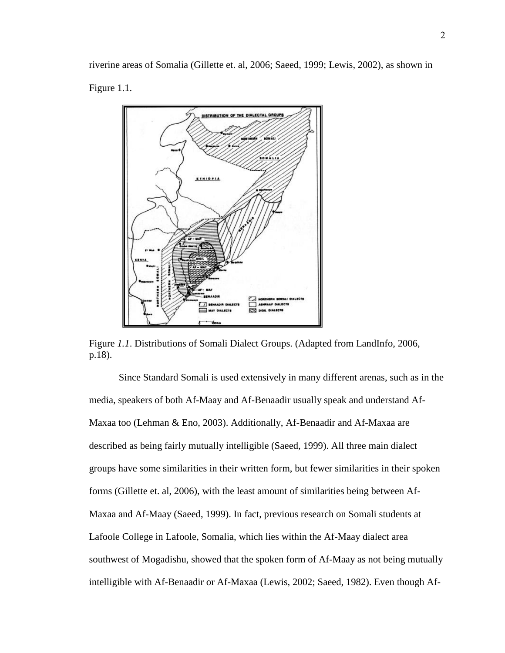riverine areas of Somalia (Gillette et. al, 2006; Saeed, 1999; Lewis, 2002), as shown in Figure 1.1.



Figure *1.1*. Distributions of Somali Dialect Groups. (Adapted from LandInfo, 2006, p.18).

Since Standard Somali is used extensively in many different arenas, such as in the media, speakers of both Af-Maay and Af-Benaadir usually speak and understand Af-Maxaa too (Lehman & Eno, 2003). Additionally, Af-Benaadir and Af-Maxaa are described as being fairly mutually intelligible (Saeed, 1999). All three main dialect groups have some similarities in their written form, but fewer similarities in their spoken forms (Gillette et. al, 2006), with the least amount of similarities being between Af-Maxaa and Af-Maay (Saeed, 1999). In fact, previous research on Somali students at Lafoole College in Lafoole, Somalia, which lies within the Af-Maay dialect area southwest of Mogadishu, showed that the spoken form of Af-Maay as not being mutually intelligible with Af-Benaadir or Af-Maxaa (Lewis, 2002; Saeed, 1982). Even though Af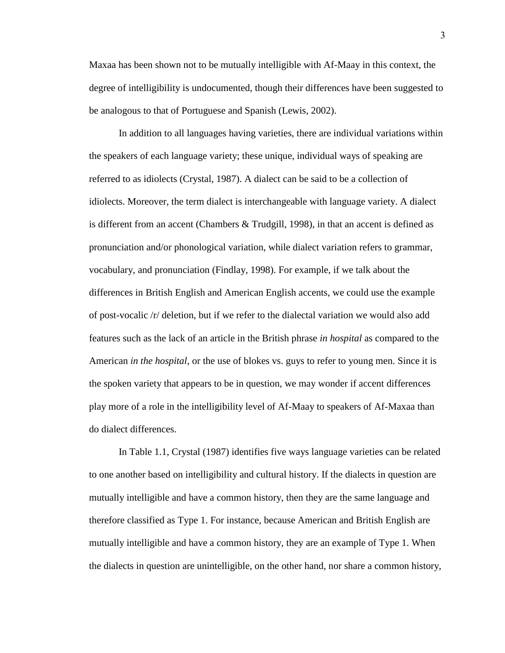Maxaa has been shown not to be mutually intelligible with Af-Maay in this context, the degree of intelligibility is undocumented, though their differences have been suggested to be analogous to that of Portuguese and Spanish (Lewis, 2002).

In addition to all languages having varieties, there are individual variations within the speakers of each language variety; these unique, individual ways of speaking are referred to as idiolects (Crystal, 1987). A dialect can be said to be a collection of idiolects. Moreover, the term dialect is interchangeable with language variety. A dialect is different from an accent (Chambers & Trudgill, 1998), in that an accent is defined as pronunciation and/or phonological variation, while dialect variation refers to grammar, vocabulary, and pronunciation (Findlay, 1998). For example, if we talk about the differences in British English and American English accents, we could use the example of post-vocalic /r/ deletion, but if we refer to the dialectal variation we would also add features such as the lack of an article in the British phrase *in hospital* as compared to the American *in the hospital*, or the use of blokes vs. guys to refer to young men. Since it is the spoken variety that appears to be in question, we may wonder if accent differences play more of a role in the intelligibility level of Af-Maay to speakers of Af-Maxaa than do dialect differences.

In Table 1.1, Crystal (1987) identifies five ways language varieties can be related to one another based on intelligibility and cultural history. If the dialects in question are mutually intelligible and have a common history, then they are the same language and therefore classified as Type 1. For instance, because American and British English are mutually intelligible and have a common history, they are an example of Type 1. When the dialects in question are unintelligible, on the other hand, nor share a common history,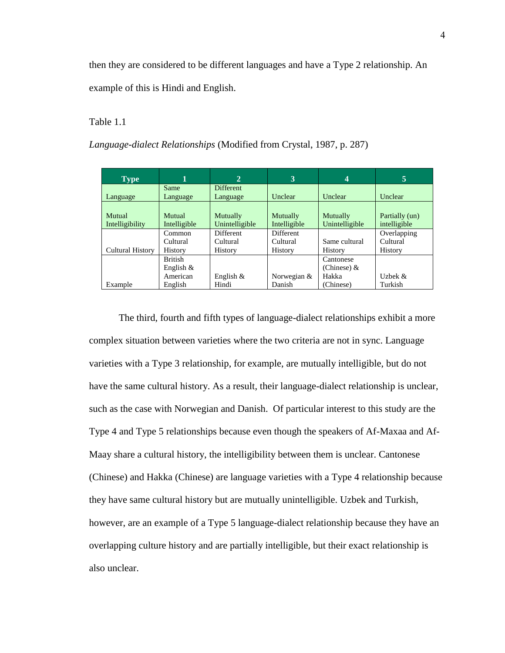then they are considered to be different languages and have a Type 2 relationship. An example of this is Hindi and English.

#### Table 1.1

*Language-dialect Relationships* (Modified from Crystal, 1987, p. 287)

| <b>Type</b>      | 1              | $\overline{2}$   | 3                | $\overline{\mathbf{4}}$ | 5              |
|------------------|----------------|------------------|------------------|-------------------------|----------------|
|                  | Same           | <b>Different</b> |                  |                         |                |
| Language         | Language       | Language         | Unclear          | Unclear                 | Unclear        |
|                  |                |                  |                  |                         |                |
| Mutual           | Mutual         | Mutually         | Mutually         | Mutually                | Partially (un) |
| Intelligibility  | Intelligible   | Unintelligible   | Intelligible     | Unintelligible          | intelligible   |
|                  | Common         | Different        | <b>Different</b> |                         | Overlapping    |
|                  | Cultural       | Cultural         | Cultural         | Same cultural           | Cultural       |
| Cultural History | History        | History          | <b>History</b>   | History                 | History        |
|                  | <b>British</b> |                  |                  | Cantonese               |                |
|                  | English $\&$   |                  |                  | (Chinese) &             |                |
|                  | American       | English $&$      | Norwegian &      | Hakka                   | Uzbek $\&$     |
| Example          | English        | Hindi            | Danish           | (Chinese)               | Turkish        |

The third, fourth and fifth types of language-dialect relationships exhibit a more complex situation between varieties where the two criteria are not in sync. Language varieties with a Type 3 relationship, for example, are mutually intelligible, but do not have the same cultural history. As a result, their language-dialect relationship is unclear, such as the case with Norwegian and Danish. Of particular interest to this study are the Type 4 and Type 5 relationships because even though the speakers of Af-Maxaa and Af-Maay share a cultural history, the intelligibility between them is unclear. Cantonese (Chinese) and Hakka (Chinese) are language varieties with a Type 4 relationship because they have same cultural history but are mutually unintelligible. Uzbek and Turkish, however, are an example of a Type 5 language-dialect relationship because they have an overlapping culture history and are partially intelligible, but their exact relationship is also unclear.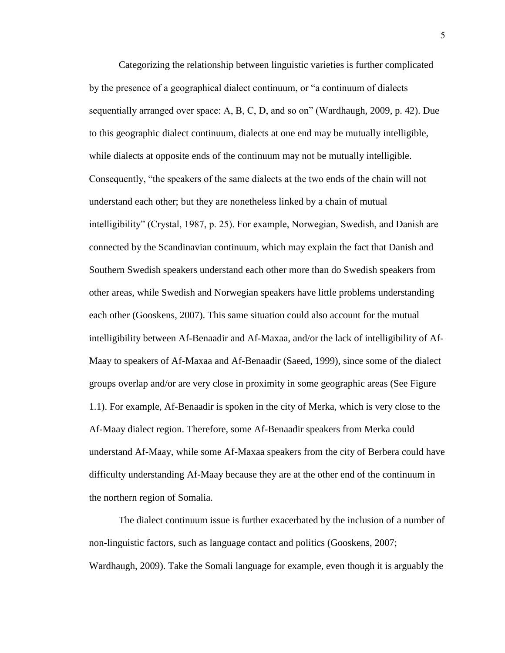Categorizing the relationship between linguistic varieties is further complicated by the presence of a geographical dialect continuum, or "a continuum of dialects sequentially arranged over space: A, B, C, D, and so on" (Wardhaugh, 2009, p. 42). Due to this geographic dialect continuum, dialects at one end may be mutually intelligible, while dialects at opposite ends of the continuum may not be mutually intelligible. Consequently, "the speakers of the same dialects at the two ends of the chain will not understand each other; but they are nonetheless linked by a chain of mutual intelligibility" (Crystal, 1987, p. 25). For example, Norwegian, Swedish, and Danish are connected by the Scandinavian continuum, which may explain the fact that Danish and Southern Swedish speakers understand each other more than do Swedish speakers from other areas, while Swedish and Norwegian speakers have little problems understanding each other (Gooskens, 2007). This same situation could also account for the mutual intelligibility between Af-Benaadir and Af-Maxaa, and/or the lack of intelligibility of Af-Maay to speakers of Af-Maxaa and Af-Benaadir (Saeed, 1999), since some of the dialect groups overlap and/or are very close in proximity in some geographic areas (See Figure 1.1). For example, Af-Benaadir is spoken in the city of Merka, which is very close to the Af-Maay dialect region. Therefore, some Af-Benaadir speakers from Merka could understand Af-Maay, while some Af-Maxaa speakers from the city of Berbera could have difficulty understanding Af-Maay because they are at the other end of the continuum in the northern region of Somalia.

The dialect continuum issue is further exacerbated by the inclusion of a number of non-linguistic factors, such as language contact and politics (Gooskens, 2007; Wardhaugh, 2009). Take the Somali language for example, even though it is arguably the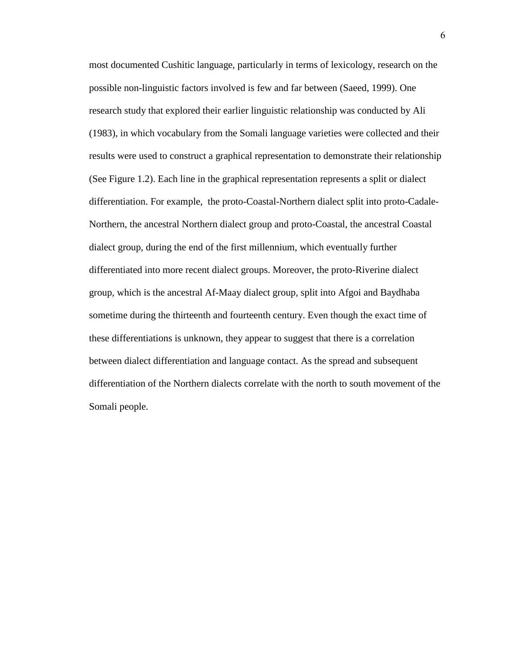most documented Cushitic language, particularly in terms of lexicology, research on the possible non-linguistic factors involved is few and far between (Saeed, 1999). One research study that explored their earlier linguistic relationship was conducted by Ali (1983), in which vocabulary from the Somali language varieties were collected and their results were used to construct a graphical representation to demonstrate their relationship (See Figure 1.2). Each line in the graphical representation represents a split or dialect differentiation. For example, the proto-Coastal-Northern dialect split into proto-Cadale-Northern, the ancestral Northern dialect group and proto-Coastal, the ancestral Coastal dialect group, during the end of the first millennium, which eventually further differentiated into more recent dialect groups. Moreover, the proto-Riverine dialect group, which is the ancestral Af-Maay dialect group, split into Afgoi and Baydhaba sometime during the thirteenth and fourteenth century. Even though the exact time of these differentiations is unknown, they appear to suggest that there is a correlation between dialect differentiation and language contact. As the spread and subsequent differentiation of the Northern dialects correlate with the north to south movement of the Somali people.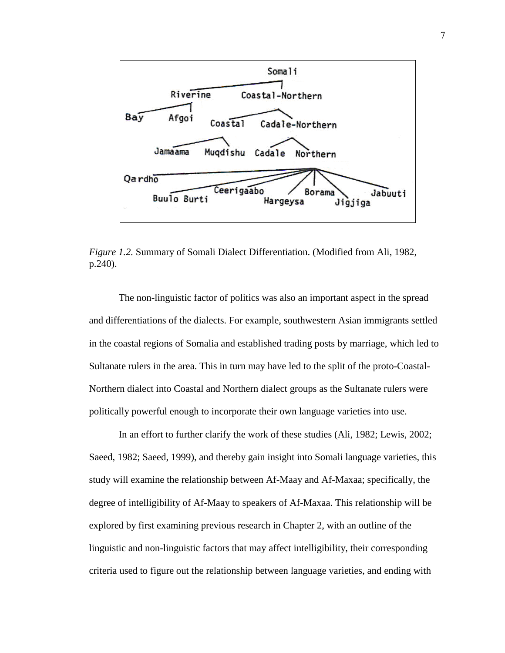

<span id="page-16-0"></span>*Figure 1.2.* Summary of Somali Dialect Differentiation. (Modified from Ali, 1982, p.240).

The non-linguistic factor of politics was also an important aspect in the spread and differentiations of the dialects. For example, southwestern Asian immigrants settled in the coastal regions of Somalia and established trading posts by marriage, which led to Sultanate rulers in the area. This in turn may have led to the split of the proto-Coastal-Northern dialect into Coastal and Northern dialect groups as the Sultanate rulers were politically powerful enough to incorporate their own language varieties into use.

In an effort to further clarify the work of these studies (Ali, 1982; Lewis, 2002; Saeed, 1982; Saeed, 1999), and thereby gain insight into Somali language varieties, this study will examine the relationship between Af-Maay and Af-Maxaa; specifically, the degree of intelligibility of Af-Maay to speakers of Af-Maxaa. This relationship will be explored by first examining previous research in Chapter 2, with an outline of the linguistic and non-linguistic factors that may affect intelligibility, their corresponding criteria used to figure out the relationship between language varieties, and ending with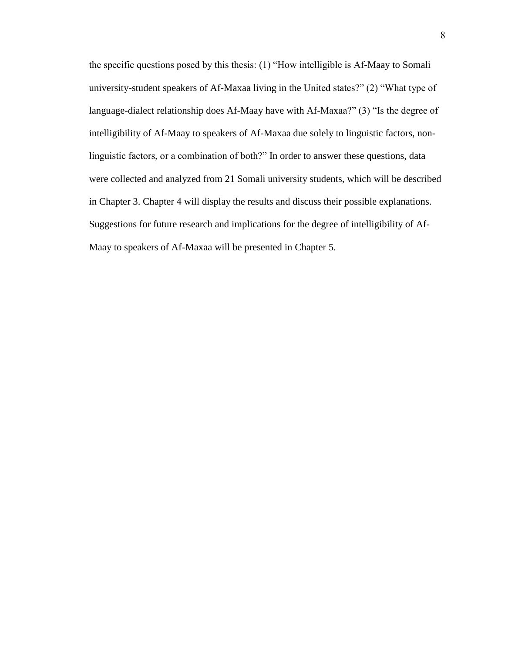the specific questions posed by this thesis: (1) "How intelligible is Af-Maay to Somali university-student speakers of Af-Maxaa living in the United states?" (2) "What type of language-dialect relationship does Af-Maay have with Af-Maxaa?" (3) "Is the degree of intelligibility of Af-Maay to speakers of Af-Maxaa due solely to linguistic factors, nonlinguistic factors, or a combination of both?" In order to answer these questions, data were collected and analyzed from 21 Somali university students, which will be described in Chapter 3. Chapter 4 will display the results and discuss their possible explanations. Suggestions for future research and implications for the degree of intelligibility of Af-Maay to speakers of Af-Maxaa will be presented in Chapter 5.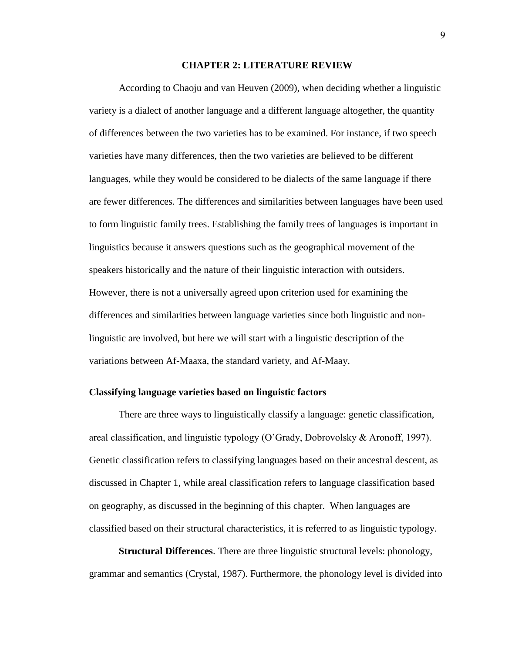#### **CHAPTER 2: LITERATURE REVIEW**

<span id="page-18-0"></span>According to Chaoju and van Heuven (2009), when deciding whether a linguistic variety is a dialect of another language and a different language altogether, the quantity of differences between the two varieties has to be examined. For instance, if two speech varieties have many differences, then the two varieties are believed to be different languages, while they would be considered to be dialects of the same language if there are fewer differences. The differences and similarities between languages have been used to form linguistic family trees. Establishing the family trees of languages is important in linguistics because it answers questions such as the geographical movement of the speakers historically and the nature of their linguistic interaction with outsiders. However, there is not a universally agreed upon criterion used for examining the differences and similarities between language varieties since both linguistic and nonlinguistic are involved, but here we will start with a linguistic description of the variations between Af-Maaxa, the standard variety, and Af-Maay.

#### <span id="page-18-1"></span>**Classifying language varieties based on linguistic factors**

There are three ways to linguistically classify a language: genetic classification, areal classification, and linguistic typology (O"Grady, Dobrovolsky & Aronoff, 1997). Genetic classification refers to classifying languages based on their ancestral descent, as discussed in Chapter 1, while areal classification refers to language classification based on geography, as discussed in the beginning of this chapter. When languages are classified based on their structural characteristics, it is referred to as linguistic typology.

<span id="page-18-2"></span>**Structural Differences**. There are three linguistic structural levels: phonology, grammar and semantics (Crystal, 1987). Furthermore, the phonology level is divided into

9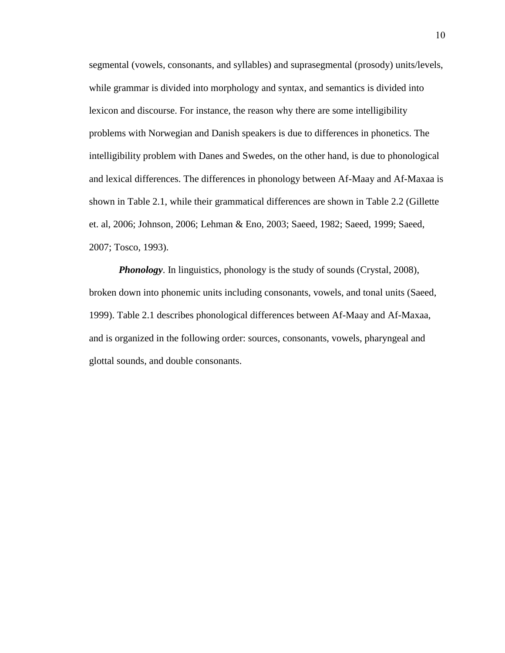segmental (vowels, consonants, and syllables) and suprasegmental (prosody) units/levels, while grammar is divided into morphology and syntax, and semantics is divided into lexicon and discourse. For instance, the reason why there are some intelligibility problems with Norwegian and Danish speakers is due to differences in phonetics. The intelligibility problem with Danes and Swedes, on the other hand, is due to phonological and lexical differences. The differences in phonology between Af-Maay and Af-Maxaa is shown in Table 2.1, while their grammatical differences are shown in Table 2.2 (Gillette et. al, 2006; Johnson, 2006; Lehman & Eno, 2003; Saeed, 1982; Saeed, 1999; Saeed, 2007; Tosco, 1993).

<span id="page-19-0"></span>*Phonology*. In linguistics, phonology is the study of sounds (Crystal, 2008), broken down into phonemic units including consonants, vowels, and tonal units (Saeed, 1999). Table 2.1 describes phonological differences between Af-Maay and Af-Maxaa, and is organized in the following order: sources, consonants, vowels, pharyngeal and glottal sounds, and double consonants.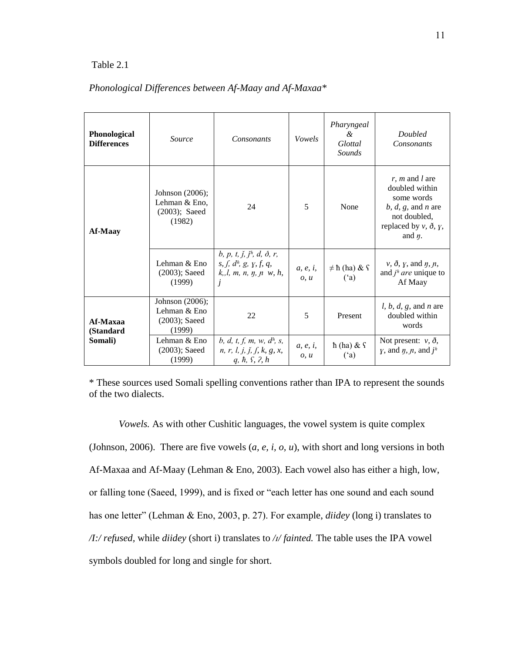#### Table 2.1

| Phonological<br><b>Differences</b> | <i>Source</i>                                                  | <b>Consonants</b>                                                                                                                                       | Vowels                   | Pharyngeal<br>$\mathcal{A}$<br>Glottal<br>Sounds | <b>Doubled</b><br>Consonants                                                                                                                     |
|------------------------------------|----------------------------------------------------------------|---------------------------------------------------------------------------------------------------------------------------------------------------------|--------------------------|--------------------------------------------------|--------------------------------------------------------------------------------------------------------------------------------------------------|
| <b>Af-Maay</b>                     | Johnson (2006);<br>Lehman & Eno,<br>$(2003)$ ; Saeed<br>(1982) | 24                                                                                                                                                      | 5                        | None                                             | $r, m$ and $l$ are<br>doubled within<br>some words<br>$b, d, g,$ and n are<br>not doubled,<br>replaced by $v$ , $\delta$ , $y$ ,<br>and $\eta$ . |
|                                    | Lehman & Eno<br>$(2003)$ ; Saeed<br>(1999)                     | b, p, t, $\check{j}$ , $\check{j}$ <sup>h</sup> , d, $\check{\partial}$ , r,<br>s, f, d <sup>h</sup> , g, y, f, q,<br>$k, l, m, n, \eta, n, w, h,$<br>Ĵ | a, e, i,<br>0, u         | $\neq$ ħ (ha) & ſ<br>(a)                         | $\nu$ , $\delta$ , $\gamma$ , and $\eta$ , $\eta$ ,<br>and $j^h$ are unique to<br>Af Maay                                                        |
| Af-Maxaa<br>(Standard<br>Somali)   | Johnson (2006);<br>Lehman & Eno<br>$(2003)$ ; Saeed<br>(1999)  | 22                                                                                                                                                      | 5                        | Present                                          | <i>l, b, d, g, and n are</i><br>doubled within<br>words                                                                                          |
|                                    | Lehman & Eno<br>$(2003)$ ; Saeed<br>(1999)                     | b, d, t, f, m, w, d <sup>h</sup> , s,<br>n, r, l, j, j, f, k, g, x,<br>$q, \hbar, \, \Omega, \, \eta$                                                   | a, e, <i>i</i> ,<br>0, u | $\hbar$ (ha) & $\hbar$<br>(a)                    | Not present: $v, \delta$ ,<br><i>y</i> , and <i>n</i> , <i>n</i> , and <i>j</i> <sup><i>h</i></sup>                                              |

### *Phonological Differences between Af-Maay and Af-Maxaa\**

\* These sources used Somali spelling conventions rather than IPA to represent the sounds of the two dialects.

<span id="page-20-0"></span>*Vowels.* As with other Cushitic languages, the vowel system is quite complex (Johnson, 2006). There are five vowels (*a, e, i, o, u*), with short and long versions in both Af-Maxaa and Af-Maay (Lehman & Eno, 2003). Each vowel also has either a high, low, or falling tone (Saeed, 1999), and is fixed or "each letter has one sound and each sound has one letter" (Lehman & Eno, 2003, p. 27). For example, *diidey* (long i) translates to */I:/ refused,* while *diidey* (short i) translates to */ɪ/ fainted.* The table uses the IPA vowel symbols doubled for long and single for short.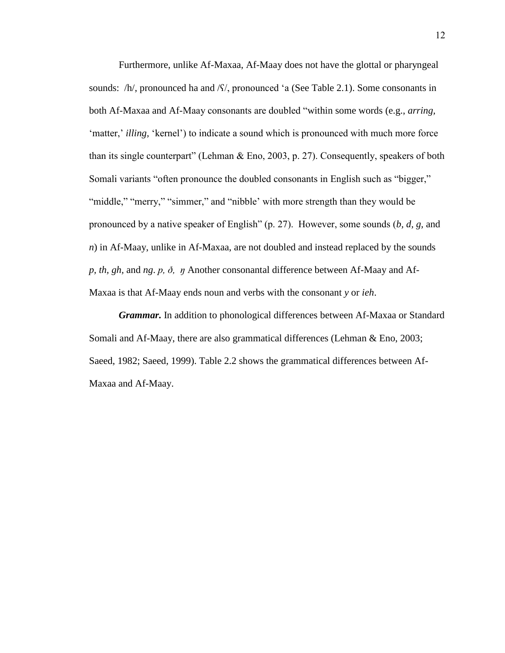Furthermore, unlike Af-Maxaa, Af-Maay does not have the glottal or pharyngeal sounds: /h/, pronounced ha and /S/, pronounced 'a (See Table 2.1). Some consonants in both Af-Maxaa and Af-Maay consonants are doubled "within some words (e.g., *arring,*  'matter,' *illing*, 'kernel') to indicate a sound which is pronounced with much more force than its single counterpart" (Lehman & Eno, 2003, p. 27). Consequently, speakers of both Somali variants "often pronounce the doubled consonants in English such as "bigger," "middle," "merry," "simmer," and "nibble' with more strength than they would be pronounced by a native speaker of English" (p. 27). However, some sounds (*b, d, g,* and *n*) in Af-Maay, unlike in Af-Maxaa, are not doubled and instead replaced by the sounds *p, th, gh,* and *ng*. *p, ð, ŋ* Another consonantal difference between Af-Maay and Af-Maxaa is that Af-Maay ends noun and verbs with the consonant *y* or *ieh*.

<span id="page-21-0"></span>*Grammar.* In addition to phonological differences between Af-Maxaa or Standard Somali and Af-Maay, there are also grammatical differences (Lehman & Eno, 2003; Saeed, 1982; Saeed, 1999). Table 2.2 shows the grammatical differences between Af-Maxaa and Af-Maay.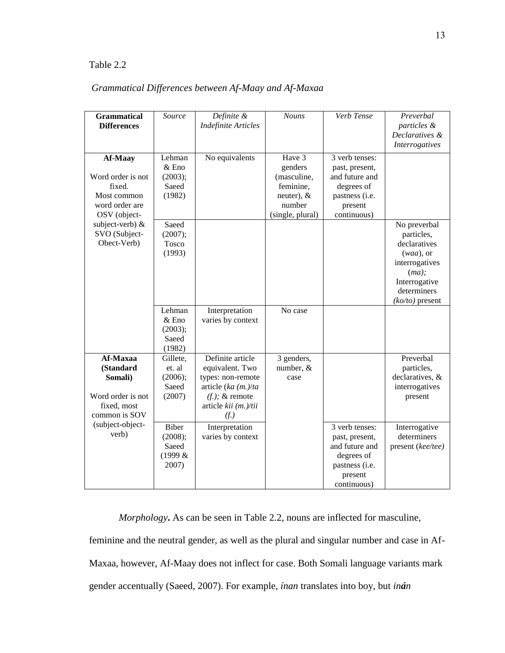### Table 2.2

| <b>Grammatical</b><br><b>Differences</b>                                              | Source                                           | Definite &<br><b>Indefinite Articles</b>                                                                                              | <b>Nouns</b>                                  | Verb Tense                                                                                                   | Preverbal<br>particles &<br>Declaratives &<br><b>Interrogatives</b>                                                                           |
|---------------------------------------------------------------------------------------|--------------------------------------------------|---------------------------------------------------------------------------------------------------------------------------------------|-----------------------------------------------|--------------------------------------------------------------------------------------------------------------|-----------------------------------------------------------------------------------------------------------------------------------------------|
| Af-Maay<br>Word order is not<br>fixed.                                                | Lehman<br>$&\text{Eno}$<br>(2003);<br>Saeed      | No equivalents                                                                                                                        | Have 3<br>genders<br>(masculine,<br>feminine, | 3 verb tenses:<br>past, present,<br>and future and<br>degrees of                                             |                                                                                                                                               |
| Most common<br>word order are<br>OSV (object-                                         | (1982)                                           |                                                                                                                                       | neuter), $&$<br>number<br>(single, plural)    | pastness (i.e.<br>present<br>continuous)                                                                     |                                                                                                                                               |
| subject-verb) &<br>SVO (Subject-<br>Obect-Verb)                                       | Saeed<br>(2007);<br>Tosco<br>(1993)              |                                                                                                                                       |                                               |                                                                                                              | No preverbal<br>particles,<br>declaratives<br>$(waa)$ , or<br>interrogatives<br>$(ma)$ ;<br>Interrogative<br>determiners<br>$(ko/to)$ present |
|                                                                                       | Lehman<br>& Eno<br>(2003);<br>Saeed<br>(1982)    | Interpretation<br>varies by context                                                                                                   | No case                                       |                                                                                                              |                                                                                                                                               |
| Af-Maxaa<br>(Standard<br>Somali)<br>Word order is not<br>fixed, most<br>common is SOV | Gillete,<br>et. al<br>(2006);<br>Saeed<br>(2007) | Definite article<br>equivalent. Two<br>types: non-remote<br>article (ka $(m.)/ta$<br>$(f.);$ & remote<br>article kii (m.)/tii<br>(f.) | 3 genders,<br>number, &<br>case               |                                                                                                              | Preverbal<br>particles,<br>declaratives, &<br>interrogatives<br>present                                                                       |
| (subject-object-<br>verb)                                                             | Biber<br>(2008);<br>Saeed<br>(1999 &<br>2007)    | Interpretation<br>varies by context                                                                                                   |                                               | 3 verb tenses:<br>past, present,<br>and future and<br>degrees of<br>pastness (i.e.<br>present<br>continuous) | Interrogative<br>determiners<br>present (kee/tee)                                                                                             |

## *Grammatical Differences between Af-Maay and Af-Maxaa*

<span id="page-22-0"></span>*Morphology***.** As can be seen in Table 2.2, nouns are inflected for masculine, feminine and the neutral gender, as well as the plural and singular number and case in Af-Maxaa, however, Af-Maay does not inflect for case. Both Somali language variants mark gender accentually (Saeed, 2007). For example, *ínan* translates into boy, but *inán*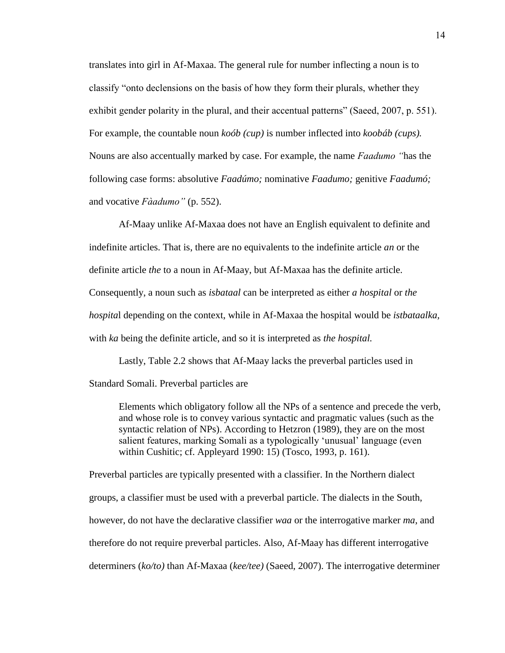translates into girl in Af-Maxaa. The general rule for number inflecting a noun is to classify "onto declensions on the basis of how they form their plurals, whether they exhibit gender polarity in the plural, and their accentual patterns" (Saeed, 2007, p. 551). For example, the countable noun *koób (cup)* is number inflected into *koobáb (cups).* Nouns are also accentually marked by case. For example, the name *Faadumo "*has the following case forms: absolutive *Faadúmo;* nominative *Faadumo;* genitive *Faadumó;*  and vocative *Fàadumo"* (p. 552).

Af-Maay unlike Af-Maxaa does not have an English equivalent to definite and indefinite articles. That is, there are no equivalents to the indefinite article *an* or the definite article *the* to a noun in Af-Maay, but Af-Maxaa has the definite article. Consequently, a noun such as *isbataal* can be interpreted as either *a hospital* or *the hospita*l depending on the context, while in Af-Maxaa the hospital would be *istbataalka,*  with *ka* being the definite article, and so it is interpreted as *the hospital.*

Lastly, Table 2.2 shows that Af-Maay lacks the preverbal particles used in Standard Somali. Preverbal particles are

Elements which obligatory follow all the NPs of a sentence and precede the verb, and whose role is to convey various syntactic and pragmatic values (such as the syntactic relation of NPs). According to Hetzron (1989), they are on the most salient features, marking Somali as a typologically "unusual" language (even within Cushitic; cf. Appleyard 1990: 15) (Tosco, 1993, p. 161).

Preverbal particles are typically presented with a classifier. In the Northern dialect groups, a classifier must be used with a preverbal particle. The dialects in the South, however, do not have the declarative classifier *waa* or the interrogative marker *ma*, and therefore do not require preverbal particles. Also, Af-Maay has different interrogative determiners (*ko/to)* than Af-Maxaa (*kee/tee)* (Saeed, 2007). The interrogative determiner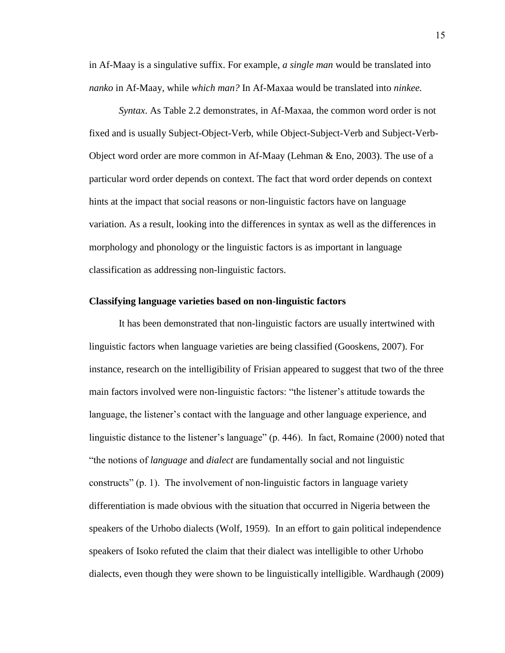in Af-Maay is a singulative suffix. For example, *a single man* would be translated into *nanko* in Af-Maay, while *which man?* In Af-Maxaa would be translated into *ninkee.*

<span id="page-24-0"></span>*Syntax*. As Table 2.2 demonstrates, in Af-Maxaa, the common word order is not fixed and is usually Subject-Object-Verb, while Object-Subject-Verb and Subject-Verb-Object word order are more common in Af-Maay (Lehman & Eno, 2003). The use of a particular word order depends on context. The fact that word order depends on context hints at the impact that social reasons or non-linguistic factors have on language variation. As a result, looking into the differences in syntax as well as the differences in morphology and phonology or the linguistic factors is as important in language classification as addressing non-linguistic factors.

#### <span id="page-24-1"></span>**Classifying language varieties based on non-linguistic factors**

It has been demonstrated that non-linguistic factors are usually intertwined with linguistic factors when language varieties are being classified (Gooskens, 2007). For instance, research on the intelligibility of Frisian appeared to suggest that two of the three main factors involved were non-linguistic factors: "the listener"s attitude towards the language, the listener"s contact with the language and other language experience, and linguistic distance to the listener"s language" (p. 446). In fact, Romaine (2000) noted that "the notions of *language* and *dialect* are fundamentally social and not linguistic constructs" (p. 1). The involvement of non-linguistic factors in language variety differentiation is made obvious with the situation that occurred in Nigeria between the speakers of the Urhobo dialects (Wolf, 1959). In an effort to gain political independence speakers of Isoko refuted the claim that their dialect was intelligible to other Urhobo dialects, even though they were shown to be linguistically intelligible. Wardhaugh (2009)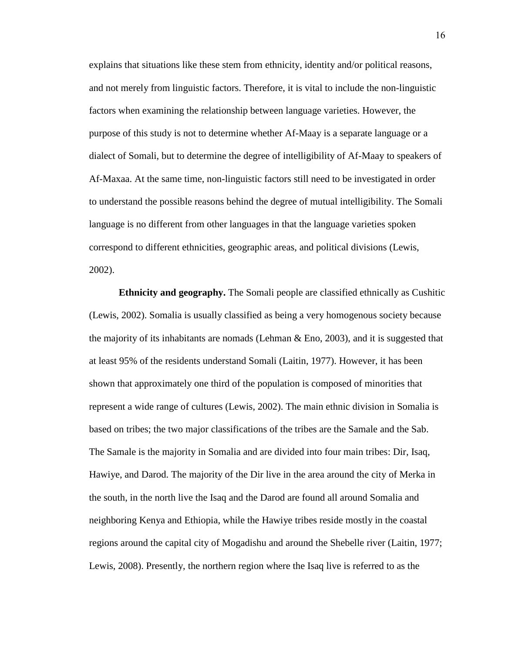explains that situations like these stem from ethnicity, identity and/or political reasons, and not merely from linguistic factors. Therefore, it is vital to include the non-linguistic factors when examining the relationship between language varieties. However, the purpose of this study is not to determine whether Af-Maay is a separate language or a dialect of Somali, but to determine the degree of intelligibility of Af-Maay to speakers of Af-Maxaa. At the same time, non-linguistic factors still need to be investigated in order to understand the possible reasons behind the degree of mutual intelligibility. The Somali language is no different from other languages in that the language varieties spoken correspond to different ethnicities, geographic areas, and political divisions (Lewis, 2002).

<span id="page-25-0"></span>**Ethnicity and geography.** The Somali people are classified ethnically as Cushitic (Lewis, 2002). Somalia is usually classified as being a very homogenous society because the majority of its inhabitants are nomads (Lehman  $\&$  Eno, 2003), and it is suggested that at least 95% of the residents understand Somali (Laitin, 1977). However, it has been shown that approximately one third of the population is composed of minorities that represent a wide range of cultures (Lewis, 2002). The main ethnic division in Somalia is based on tribes; the two major classifications of the tribes are the Samale and the Sab. The Samale is the majority in Somalia and are divided into four main tribes: Dir, Isaq, Hawiye, and Darod. The majority of the Dir live in the area around the city of Merka in the south, in the north live the Isaq and the Darod are found all around Somalia and neighboring Kenya and Ethiopia, while the Hawiye tribes reside mostly in the coastal regions around the capital city of Mogadishu and around the Shebelle river (Laitin, 1977; Lewis, 2008). Presently, the northern region where the Isaq live is referred to as the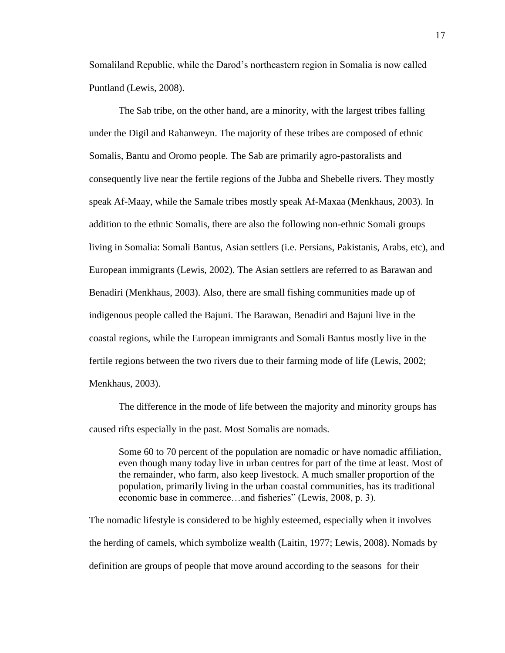Somaliland Republic, while the Darod"s northeastern region in Somalia is now called Puntland (Lewis, 2008).

The Sab tribe, on the other hand, are a minority, with the largest tribes falling under the Digil and Rahanweyn. The majority of these tribes are composed of ethnic Somalis, Bantu and Oromo people. The Sab are primarily agro-pastoralists and consequently live near the fertile regions of the Jubba and Shebelle rivers. They mostly speak Af-Maay, while the Samale tribes mostly speak Af-Maxaa (Menkhaus, 2003). In addition to the ethnic Somalis, there are also the following non-ethnic Somali groups living in Somalia: Somali Bantus, Asian settlers (i.e. Persians, Pakistanis, Arabs, etc), and European immigrants (Lewis, 2002). The Asian settlers are referred to as Barawan and Benadiri (Menkhaus, 2003). Also, there are small fishing communities made up of indigenous people called the Bajuni. The Barawan, Benadiri and Bajuni live in the coastal regions, while the European immigrants and Somali Bantus mostly live in the fertile regions between the two rivers due to their farming mode of life (Lewis, 2002; Menkhaus, 2003).

The difference in the mode of life between the majority and minority groups has caused rifts especially in the past. Most Somalis are nomads.

Some 60 to 70 percent of the population are nomadic or have nomadic affiliation, even though many today live in urban centres for part of the time at least. Most of the remainder, who farm, also keep livestock. A much smaller proportion of the population, primarily living in the urban coastal communities, has its traditional economic base in commerce…and fisheries" (Lewis, 2008, p. 3).

The nomadic lifestyle is considered to be highly esteemed, especially when it involves the herding of camels, which symbolize wealth (Laitin, 1977; Lewis, 2008). Nomads by definition are groups of people that move around according to the seasons for their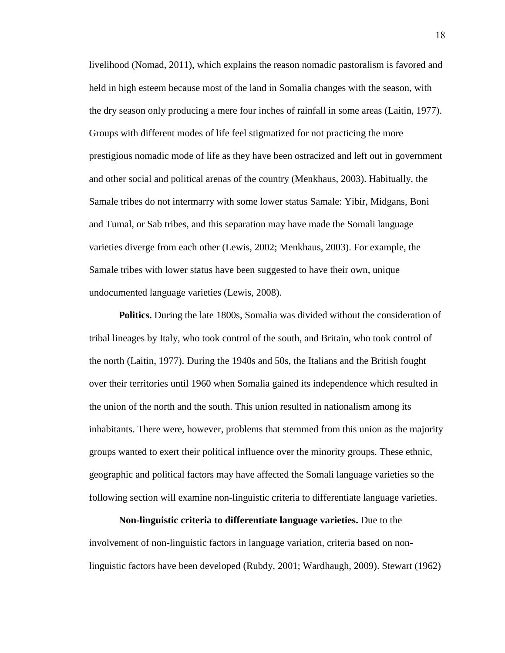livelihood (Nomad, 2011), which explains the reason nomadic pastoralism is favored and held in high esteem because most of the land in Somalia changes with the season, with the dry season only producing a mere four inches of rainfall in some areas (Laitin, 1977). Groups with different modes of life feel stigmatized for not practicing the more prestigious nomadic mode of life as they have been ostracized and left out in government and other social and political arenas of the country (Menkhaus, 2003). Habitually, the Samale tribes do not intermarry with some lower status Samale: Yibir, Midgans, Boni and Tumal, or Sab tribes, and this separation may have made the Somali language varieties diverge from each other (Lewis, 2002; Menkhaus, 2003). For example, the Samale tribes with lower status have been suggested to have their own, unique undocumented language varieties (Lewis, 2008).

<span id="page-27-0"></span>**Politics.** During the late 1800s, Somalia was divided without the consideration of tribal lineages by Italy, who took control of the south, and Britain, who took control of the north (Laitin, 1977). During the 1940s and 50s, the Italians and the British fought over their territories until 1960 when Somalia gained its independence which resulted in the union of the north and the south. This union resulted in nationalism among its inhabitants. There were, however, problems that stemmed from this union as the majority groups wanted to exert their political influence over the minority groups. These ethnic, geographic and political factors may have affected the Somali language varieties so the following section will examine non-linguistic criteria to differentiate language varieties.

<span id="page-27-1"></span>**Non-linguistic criteria to differentiate language varieties.** Due to the involvement of non-linguistic factors in language variation, criteria based on nonlinguistic factors have been developed (Rubdy, 2001; Wardhaugh, 2009). Stewart (1962)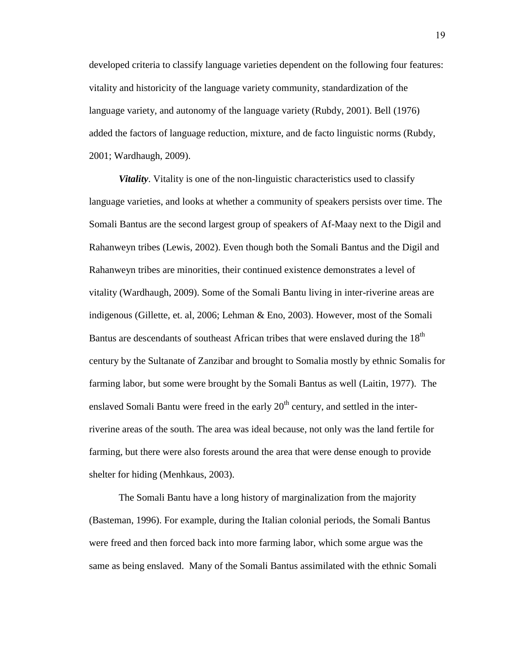developed criteria to classify language varieties dependent on the following four features: vitality and historicity of the language variety community, standardization of the language variety, and autonomy of the language variety (Rubdy, 2001). Bell (1976) added the factors of language reduction, mixture, and de facto linguistic norms (Rubdy, 2001; Wardhaugh, 2009).

<span id="page-28-0"></span>*Vitality*. Vitality is one of the non-linguistic characteristics used to classify language varieties, and looks at whether a community of speakers persists over time. The Somali Bantus are the second largest group of speakers of Af-Maay next to the Digil and Rahanweyn tribes (Lewis, 2002). Even though both the Somali Bantus and the Digil and Rahanweyn tribes are minorities, their continued existence demonstrates a level of vitality (Wardhaugh, 2009). Some of the Somali Bantu living in inter-riverine areas are indigenous (Gillette, et. al, 2006; Lehman & Eno, 2003). However, most of the Somali Bantus are descendants of southeast African tribes that were enslaved during the 18<sup>th</sup> century by the Sultanate of Zanzibar and brought to Somalia mostly by ethnic Somalis for farming labor, but some were brought by the Somali Bantus as well (Laitin, 1977). The enslaved Somali Bantu were freed in the early  $20<sup>th</sup>$  century, and settled in the interriverine areas of the south. The area was ideal because, not only was the land fertile for farming, but there were also forests around the area that were dense enough to provide shelter for hiding (Menhkaus, 2003).

The Somali Bantu have a long history of marginalization from the majority (Basteman, 1996). For example, during the Italian colonial periods, the Somali Bantus were freed and then forced back into more farming labor, which some argue was the same as being enslaved. Many of the Somali Bantus assimilated with the ethnic Somali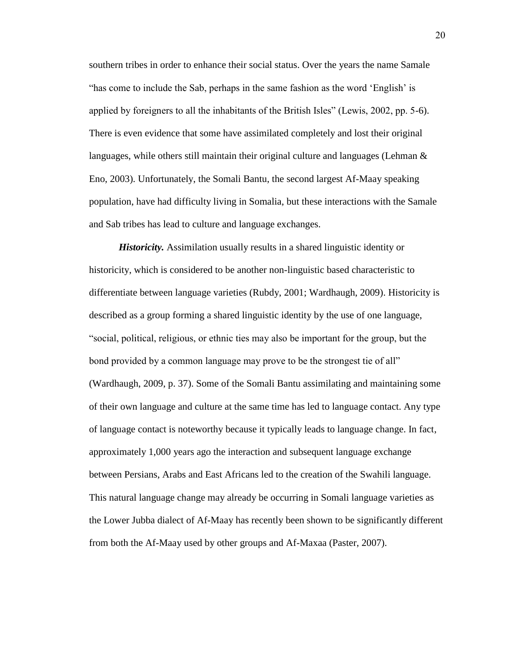southern tribes in order to enhance their social status. Over the years the name Samale "has come to include the Sab, perhaps in the same fashion as the word "English" is applied by foreigners to all the inhabitants of the British Isles" (Lewis, 2002, pp. 5-6). There is even evidence that some have assimilated completely and lost their original languages, while others still maintain their original culture and languages (Lehman  $\&$ Eno, 2003). Unfortunately, the Somali Bantu, the second largest Af-Maay speaking population, have had difficulty living in Somalia, but these interactions with the Samale and Sab tribes has lead to culture and language exchanges.

<span id="page-29-0"></span>*Historicity.* Assimilation usually results in a shared linguistic identity or historicity, which is considered to be another non-linguistic based characteristic to differentiate between language varieties (Rubdy, 2001; Wardhaugh, 2009). Historicity is described as a group forming a shared linguistic identity by the use of one language, "social, political, religious, or ethnic ties may also be important for the group, but the bond provided by a common language may prove to be the strongest tie of all" (Wardhaugh, 2009, p. 37). Some of the Somali Bantu assimilating and maintaining some of their own language and culture at the same time has led to language contact. Any type of language contact is noteworthy because it typically leads to language change. In fact, approximately 1,000 years ago the interaction and subsequent language exchange between Persians, Arabs and East Africans led to the creation of the Swahili language. This natural language change may already be occurring in Somali language varieties as the Lower Jubba dialect of Af-Maay has recently been shown to be significantly different from both the Af-Maay used by other groups and Af-Maxaa (Paster, 2007).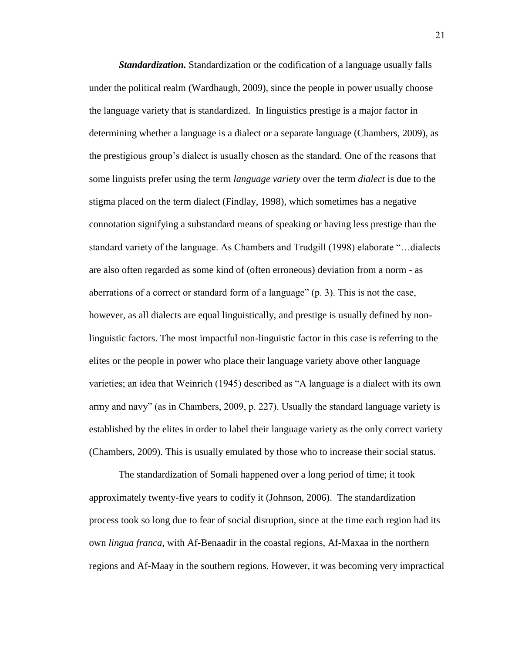<span id="page-30-0"></span>*Standardization.* Standardization or the codification of a language usually falls under the political realm (Wardhaugh, 2009), since the people in power usually choose the language variety that is standardized. In linguistics prestige is a major factor in determining whether a language is a dialect or a separate language (Chambers, 2009), as the prestigious group"s dialect is usually chosen as the standard. One of the reasons that some linguists prefer using the term *language variety* over the term *dialect* is due to the stigma placed on the term dialect (Findlay, 1998), which sometimes has a negative connotation signifying a substandard means of speaking or having less prestige than the standard variety of the language. As Chambers and Trudgill (1998) elaborate "…dialects are also often regarded as some kind of (often erroneous) deviation from a norm - as aberrations of a correct or standard form of a language" (p. 3). This is not the case, however, as all dialects are equal linguistically, and prestige is usually defined by nonlinguistic factors. The most impactful non-linguistic factor in this case is referring to the elites or the people in power who place their language variety above other language varieties; an idea that Weinrich (1945) described as "A language is a dialect with its own army and navy" (as in Chambers, 2009, p. 227). Usually the standard language variety is established by the elites in order to label their language variety as the only correct variety (Chambers, 2009). This is usually emulated by those who to increase their social status.

The standardization of Somali happened over a long period of time; it took approximately twenty-five years to codify it (Johnson, 2006). The standardization process took so long due to fear of social disruption, since at the time each region had its own *lingua franca*, with Af-Benaadir in the coastal regions, Af-Maxaa in the northern regions and Af-Maay in the southern regions. However, it was becoming very impractical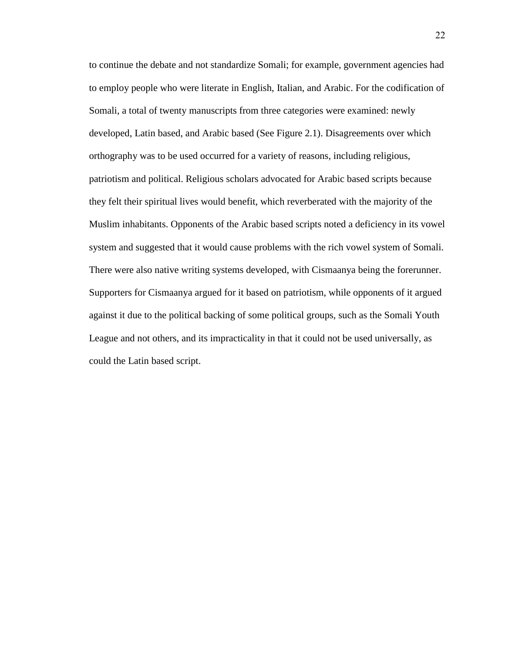to continue the debate and not standardize Somali; for example, government agencies had to employ people who were literate in English, Italian, and Arabic. For the codification of Somali, a total of twenty manuscripts from three categories were examined: newly developed, Latin based, and Arabic based (See Figure 2.1). Disagreements over which orthography was to be used occurred for a variety of reasons, including religious, patriotism and political. Religious scholars advocated for Arabic based scripts because they felt their spiritual lives would benefit, which reverberated with the majority of the Muslim inhabitants. Opponents of the Arabic based scripts noted a deficiency in its vowel system and suggested that it would cause problems with the rich vowel system of Somali. There were also native writing systems developed, with Cismaanya being the forerunner. Supporters for Cismaanya argued for it based on patriotism, while opponents of it argued against it due to the political backing of some political groups, such as the Somali Youth League and not others, and its impracticality in that it could not be used universally, as could the Latin based script.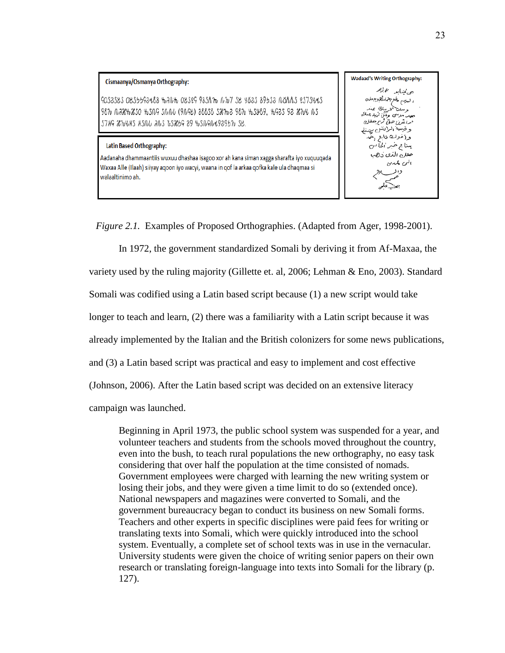

**Wadaad's Writing Orthography:** ەن ئىندابىيە ئىم ئرغىر السرم بكرهار أهرجعاه وصفتا ويبك يمند موسى وَتَتَنْ تُرَيدُ بِمَنْكَ ارءشرز حق كربرحتاج وقيتمة الرابنش يهنه وإخوك ناع لهم یبنا ج خبر الحاس حقل الذى دهب الى كمەن

*Figure 2.1.* Examples of Proposed Orthographies. (Adapted from Ager, 1998-2001).

In 1972, the government standardized Somali by deriving it from Af-Maxaa, the variety used by the ruling majority (Gillette et. al, 2006; Lehman & Eno, 2003). Standard Somali was codified using a Latin based script because (1) a new script would take longer to teach and learn, (2) there was a familiarity with a Latin script because it was already implemented by the Italian and the British colonizers for some news publications, and (3) a Latin based script was practical and easy to implement and cost effective (Johnson, 2006). After the Latin based script was decided on an extensive literacy campaign was launched.

Beginning in April 1973, the public school system was suspended for a year, and volunteer teachers and students from the schools moved throughout the country, even into the bush, to teach rural populations the new orthography, no easy task considering that over half the population at the time consisted of nomads. Government employees were charged with learning the new writing system or losing their jobs, and they were given a time limit to do so (extended once). National newspapers and magazines were converted to Somali, and the government bureaucracy began to conduct its business on new Somali forms. Teachers and other experts in specific disciplines were paid fees for writing or translating texts into Somali, which were quickly introduced into the school system. Eventually, a complete set of school texts was in use in the vernacular. University students were given the choice of writing senior papers on their own research or translating foreign-language into texts into Somali for the library (p. 127).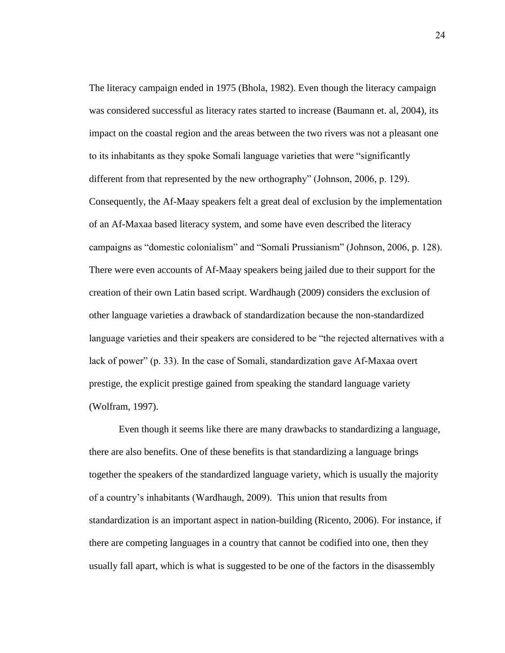The literacy campaign ended in 1975 (Bhola, 1982). Even though the literacy campaign was considered successful as literacy rates started to increase (Baumann et. al, 2004), its impact on the coastal region and the areas between the two rivers was not a pleasant one to its inhabitants as they spoke Somali language varieties that were "significantly different from that represented by the new orthography" (Johnson, 2006, p. 129). Consequently, the Af-Maay speakers felt a great deal of exclusion by the implementation of an Af-Maxaa based literacy system, and some have even described the literacy campaigns as "domestic colonialism" and "Somali Prussianism" (Johnson, 2006, p. 128). There were even accounts of Af-Maay speakers being jailed due to their support for the creation of their own Latin based script. Wardhaugh (2009) considers the exclusion of other language varieties a drawback of standardization because the non-standardized language varieties and their speakers are considered to be "the rejected alternatives with a lack of power" (p. 33). In the case of Somali, standardization gave Af-Maxaa overt prestige, the explicit prestige gained from speaking the standard language variety (Wolfram, 1997).

Even though it seems like there are many drawbacks to standardizing a language, there are also benefits. One of these benefits is that standardizing a language brings together the speakers of the standardized language variety, which is usually the majority of a country"s inhabitants (Wardhaugh, 2009). This union that results from standardization is an important aspect in nation-building (Ricento, 2006). For instance, if there are competing languages in a country that cannot be codified into one, then they usually fall apart, which is what is suggested to be one of the factors in the disassembly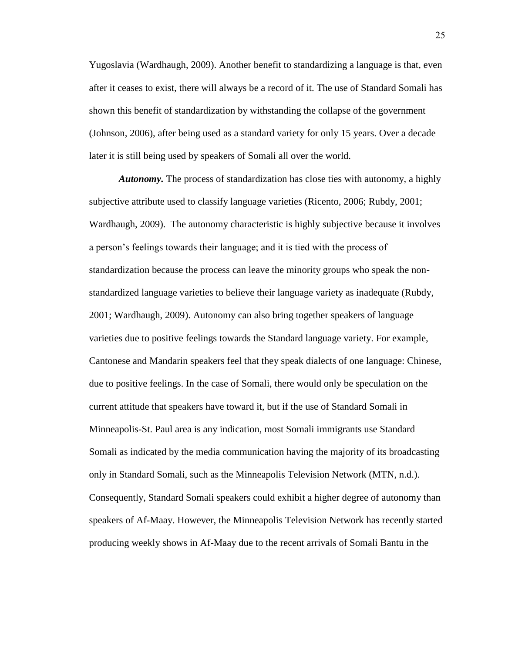Yugoslavia (Wardhaugh, 2009). Another benefit to standardizing a language is that, even after it ceases to exist, there will always be a record of it. The use of Standard Somali has shown this benefit of standardization by withstanding the collapse of the government (Johnson, 2006), after being used as a standard variety for only 15 years. Over a decade later it is still being used by speakers of Somali all over the world.

<span id="page-34-0"></span>*Autonomy.* The process of standardization has close ties with autonomy, a highly subjective attribute used to classify language varieties (Ricento, 2006; Rubdy, 2001; Wardhaugh, 2009). The autonomy characteristic is highly subjective because it involves a person"s feelings towards their language; and it is tied with the process of standardization because the process can leave the minority groups who speak the nonstandardized language varieties to believe their language variety as inadequate (Rubdy, 2001; Wardhaugh, 2009). Autonomy can also bring together speakers of language varieties due to positive feelings towards the Standard language variety. For example, Cantonese and Mandarin speakers feel that they speak dialects of one language: Chinese, due to positive feelings. In the case of Somali, there would only be speculation on the current attitude that speakers have toward it, but if the use of Standard Somali in Minneapolis-St. Paul area is any indication, most Somali immigrants use Standard Somali as indicated by the media communication having the majority of its broadcasting only in Standard Somali, such as the Minneapolis Television Network (MTN, n.d.). Consequently, Standard Somali speakers could exhibit a higher degree of autonomy than speakers of Af-Maay. However, the Minneapolis Television Network has recently started producing weekly shows in Af-Maay due to the recent arrivals of Somali Bantu in the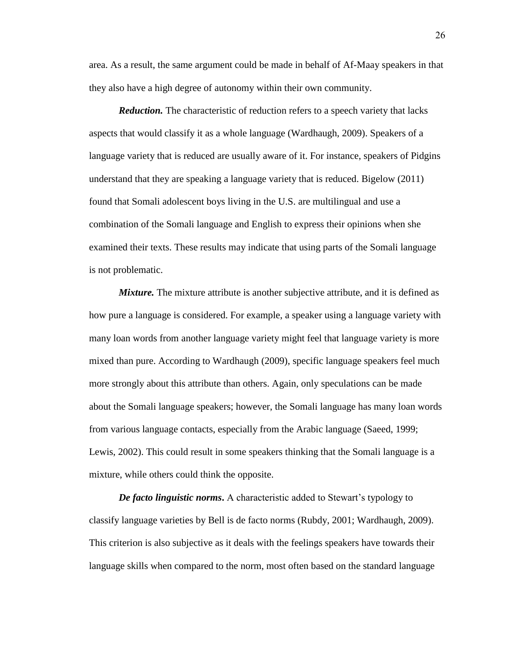area. As a result, the same argument could be made in behalf of Af-Maay speakers in that they also have a high degree of autonomy within their own community.

<span id="page-35-0"></span>*Reduction.* The characteristic of reduction refers to a speech variety that lacks aspects that would classify it as a whole language (Wardhaugh, 2009). Speakers of a language variety that is reduced are usually aware of it. For instance, speakers of Pidgins understand that they are speaking a language variety that is reduced. Bigelow (2011) found that Somali adolescent boys living in the U.S. are multilingual and use a combination of the Somali language and English to express their opinions when she examined their texts. These results may indicate that using parts of the Somali language is not problematic.

<span id="page-35-1"></span>*Mixture.* The mixture attribute is another subjective attribute, and it is defined as how pure a language is considered. For example, a speaker using a language variety with many loan words from another language variety might feel that language variety is more mixed than pure. According to Wardhaugh (2009), specific language speakers feel much more strongly about this attribute than others. Again, only speculations can be made about the Somali language speakers; however, the Somali language has many loan words from various language contacts, especially from the Arabic language (Saeed, 1999; Lewis, 2002). This could result in some speakers thinking that the Somali language is a mixture, while others could think the opposite.

<span id="page-35-2"></span>*De facto linguistic norms*. A characteristic added to Stewart's typology to classify language varieties by Bell is de facto norms (Rubdy, 2001; Wardhaugh, 2009). This criterion is also subjective as it deals with the feelings speakers have towards their language skills when compared to the norm, most often based on the standard language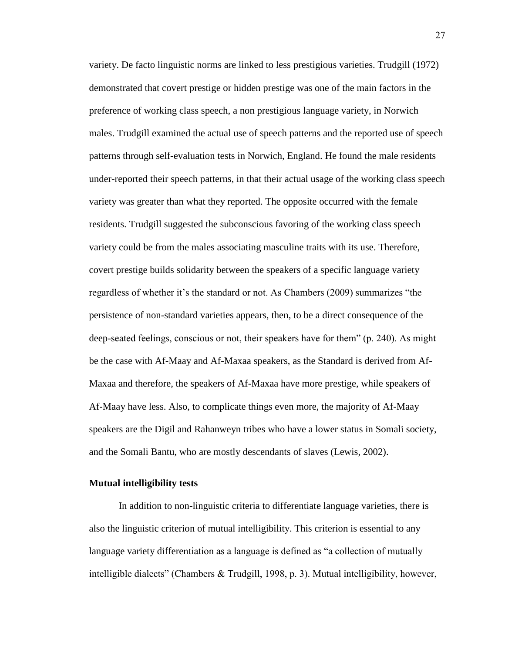variety. De facto linguistic norms are linked to less prestigious varieties. Trudgill (1972) demonstrated that covert prestige or hidden prestige was one of the main factors in the preference of working class speech, a non prestigious language variety, in Norwich males. Trudgill examined the actual use of speech patterns and the reported use of speech patterns through self-evaluation tests in Norwich, England. He found the male residents under-reported their speech patterns, in that their actual usage of the working class speech variety was greater than what they reported. The opposite occurred with the female residents. Trudgill suggested the subconscious favoring of the working class speech variety could be from the males associating masculine traits with its use. Therefore, covert prestige builds solidarity between the speakers of a specific language variety regardless of whether it's the standard or not. As Chambers (2009) summarizes "the persistence of non-standard varieties appears, then, to be a direct consequence of the deep-seated feelings, conscious or not, their speakers have for them" (p. 240). As might be the case with Af-Maay and Af-Maxaa speakers, as the Standard is derived from Af-Maxaa and therefore, the speakers of Af-Maxaa have more prestige, while speakers of Af-Maay have less. Also, to complicate things even more, the majority of Af-Maay speakers are the Digil and Rahanweyn tribes who have a lower status in Somali society, and the Somali Bantu, who are mostly descendants of slaves (Lewis, 2002).

#### **Mutual intelligibility tests**

In addition to non-linguistic criteria to differentiate language varieties, there is also the linguistic criterion of mutual intelligibility. This criterion is essential to any language variety differentiation as a language is defined as "a collection of mutually intelligible dialects" (Chambers & Trudgill, 1998, p. 3). Mutual intelligibility, however,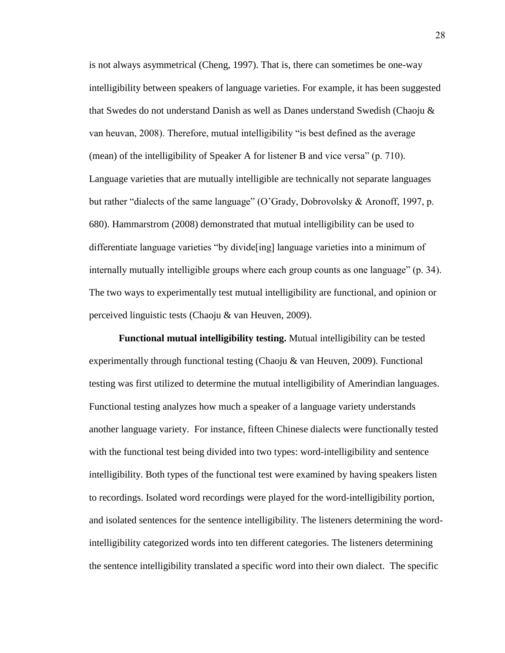is not always asymmetrical (Cheng, 1997). That is, there can sometimes be one-way intelligibility between speakers of language varieties. For example, it has been suggested that Swedes do not understand Danish as well as Danes understand Swedish (Chaoju & van heuvan, 2008). Therefore, mutual intelligibility "is best defined as the average (mean) of the intelligibility of Speaker A for listener B and vice versa" (p. 710). Language varieties that are mutually intelligible are technically not separate languages but rather "dialects of the same language" (O"Grady, Dobrovolsky & Aronoff, 1997, p. 680). Hammarstrom (2008) demonstrated that mutual intelligibility can be used to differentiate language varieties "by divide[ing] language varieties into a minimum of internally mutually intelligible groups where each group counts as one language" (p. 34). The two ways to experimentally test mutual intelligibility are functional, and opinion or perceived linguistic tests (Chaoju & van Heuven, 2009).

**Functional mutual intelligibility testing.** Mutual intelligibility can be tested experimentally through functional testing (Chaoju & van Heuven, 2009). Functional testing was first utilized to determine the mutual intelligibility of Amerindian languages. Functional testing analyzes how much a speaker of a language variety understands another language variety. For instance, fifteen Chinese dialects were functionally tested with the functional test being divided into two types: word-intelligibility and sentence intelligibility. Both types of the functional test were examined by having speakers listen to recordings. Isolated word recordings were played for the word-intelligibility portion, and isolated sentences for the sentence intelligibility. The listeners determining the wordintelligibility categorized words into ten different categories. The listeners determining the sentence intelligibility translated a specific word into their own dialect. The specific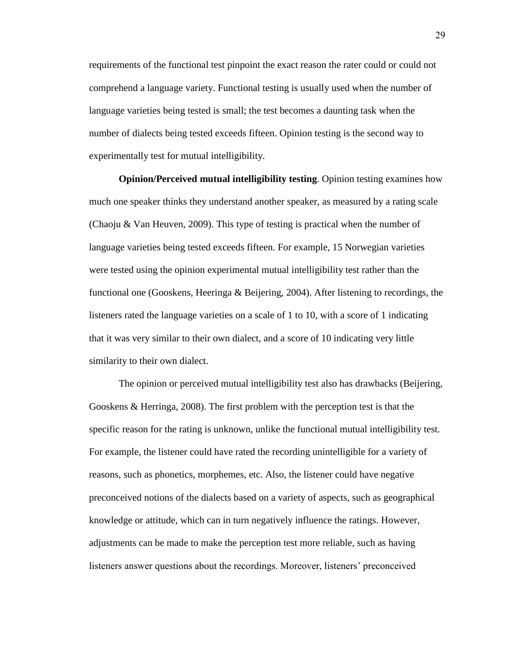requirements of the functional test pinpoint the exact reason the rater could or could not comprehend a language variety. Functional testing is usually used when the number of language varieties being tested is small; the test becomes a daunting task when the number of dialects being tested exceeds fifteen. Opinion testing is the second way to experimentally test for mutual intelligibility.

**Opinion/Perceived mutual intelligibility testing**. Opinion testing examines how much one speaker thinks they understand another speaker, as measured by a rating scale (Chaoju & Van Heuven, 2009). This type of testing is practical when the number of language varieties being tested exceeds fifteen. For example, 15 Norwegian varieties were tested using the opinion experimental mutual intelligibility test rather than the functional one (Gooskens, Heeringa & Beijering, 2004). After listening to recordings, the listeners rated the language varieties on a scale of 1 to 10, with a score of 1 indicating that it was very similar to their own dialect, and a score of 10 indicating very little similarity to their own dialect.

The opinion or perceived mutual intelligibility test also has drawbacks (Beijering, Gooskens & Herringa, 2008). The first problem with the perception test is that the specific reason for the rating is unknown, unlike the functional mutual intelligibility test. For example, the listener could have rated the recording unintelligible for a variety of reasons, such as phonetics, morphemes, etc. Also, the listener could have negative preconceived notions of the dialects based on a variety of aspects, such as geographical knowledge or attitude, which can in turn negatively influence the ratings. However, adjustments can be made to make the perception test more reliable, such as having listeners answer questions about the recordings. Moreover, listeners" preconceived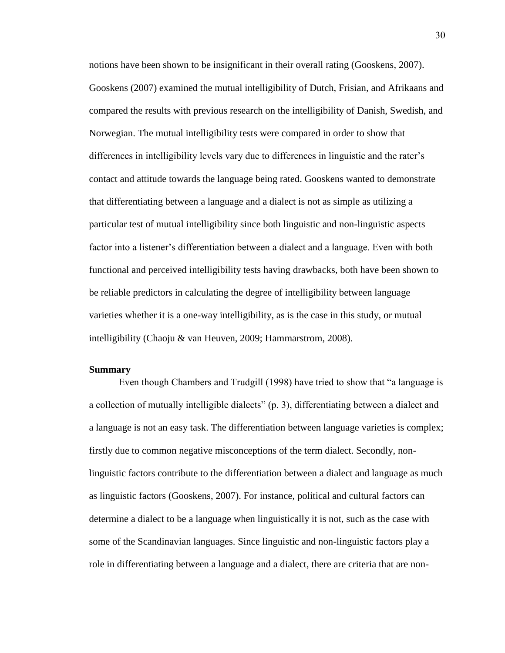notions have been shown to be insignificant in their overall rating (Gooskens, 2007). Gooskens (2007) examined the mutual intelligibility of Dutch, Frisian, and Afrikaans and compared the results with previous research on the intelligibility of Danish, Swedish, and Norwegian. The mutual intelligibility tests were compared in order to show that differences in intelligibility levels vary due to differences in linguistic and the rater"s contact and attitude towards the language being rated. Gooskens wanted to demonstrate that differentiating between a language and a dialect is not as simple as utilizing a particular test of mutual intelligibility since both linguistic and non-linguistic aspects factor into a listener"s differentiation between a dialect and a language. Even with both functional and perceived intelligibility tests having drawbacks, both have been shown to be reliable predictors in calculating the degree of intelligibility between language varieties whether it is a one-way intelligibility, as is the case in this study, or mutual intelligibility (Chaoju & van Heuven, 2009; Hammarstrom, 2008).

#### **Summary**

Even though Chambers and Trudgill (1998) have tried to show that "a language is a collection of mutually intelligible dialects" (p. 3), differentiating between a dialect and a language is not an easy task. The differentiation between language varieties is complex; firstly due to common negative misconceptions of the term dialect. Secondly, nonlinguistic factors contribute to the differentiation between a dialect and language as much as linguistic factors (Gooskens, 2007). For instance, political and cultural factors can determine a dialect to be a language when linguistically it is not, such as the case with some of the Scandinavian languages. Since linguistic and non-linguistic factors play a role in differentiating between a language and a dialect, there are criteria that are non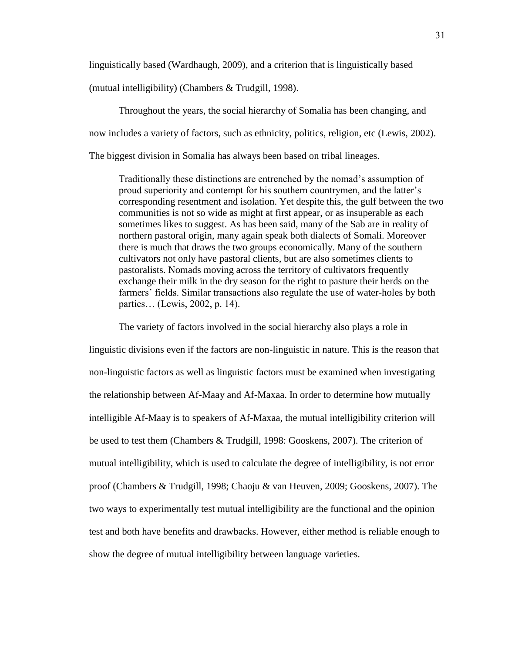linguistically based (Wardhaugh, 2009), and a criterion that is linguistically based

(mutual intelligibility) (Chambers & Trudgill, 1998).

Throughout the years, the social hierarchy of Somalia has been changing, and now includes a variety of factors, such as ethnicity, politics, religion, etc (Lewis, 2002). The biggest division in Somalia has always been based on tribal lineages.

Traditionally these distinctions are entrenched by the nomad"s assumption of proud superiority and contempt for his southern countrymen, and the latter's corresponding resentment and isolation. Yet despite this, the gulf between the two communities is not so wide as might at first appear, or as insuperable as each sometimes likes to suggest. As has been said, many of the Sab are in reality of northern pastoral origin, many again speak both dialects of Somali. Moreover there is much that draws the two groups economically. Many of the southern cultivators not only have pastoral clients, but are also sometimes clients to pastoralists. Nomads moving across the territory of cultivators frequently exchange their milk in the dry season for the right to pasture their herds on the farmers' fields. Similar transactions also regulate the use of water-holes by both parties… (Lewis, 2002, p. 14).

The variety of factors involved in the social hierarchy also plays a role in linguistic divisions even if the factors are non-linguistic in nature. This is the reason that non-linguistic factors as well as linguistic factors must be examined when investigating the relationship between Af-Maay and Af-Maxaa. In order to determine how mutually intelligible Af-Maay is to speakers of Af-Maxaa, the mutual intelligibility criterion will be used to test them (Chambers & Trudgill, 1998: Gooskens, 2007). The criterion of mutual intelligibility, which is used to calculate the degree of intelligibility, is not error proof (Chambers & Trudgill, 1998; Chaoju & van Heuven, 2009; Gooskens, 2007). The two ways to experimentally test mutual intelligibility are the functional and the opinion test and both have benefits and drawbacks. However, either method is reliable enough to show the degree of mutual intelligibility between language varieties.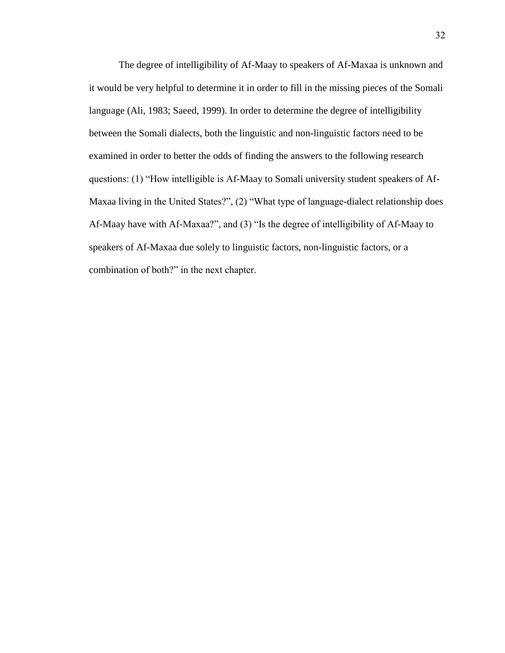The degree of intelligibility of Af-Maay to speakers of Af-Maxaa is unknown and it would be very helpful to determine it in order to fill in the missing pieces of the Somali language (Ali, 1983; Saeed, 1999). In order to determine the degree of intelligibility between the Somali dialects, both the linguistic and non-linguistic factors need to be examined in order to better the odds of finding the answers to the following research questions: (1) "How intelligible is Af-Maay to Somali university student speakers of Af-Maxaa living in the United States?", (2) "What type of language-dialect relationship does Af-Maay have with Af-Maxaa?", and (3) "Is the degree of intelligibility of Af-Maay to speakers of Af-Maxaa due solely to linguistic factors, non-linguistic factors, or a combination of both?" in the next chapter.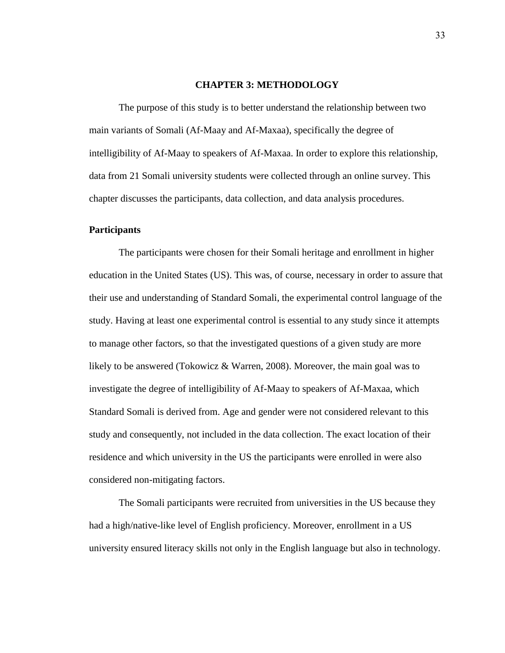#### **CHAPTER 3: METHODOLOGY**

The purpose of this study is to better understand the relationship between two main variants of Somali (Af-Maay and Af-Maxaa), specifically the degree of intelligibility of Af-Maay to speakers of Af-Maxaa. In order to explore this relationship, data from 21 Somali university students were collected through an online survey. This chapter discusses the participants, data collection, and data analysis procedures.

#### **Participants**

The participants were chosen for their Somali heritage and enrollment in higher education in the United States (US). This was, of course, necessary in order to assure that their use and understanding of Standard Somali, the experimental control language of the study. Having at least one experimental control is essential to any study since it attempts to manage other factors, so that the investigated questions of a given study are more likely to be answered (Tokowicz & Warren, 2008). Moreover, the main goal was to investigate the degree of intelligibility of Af-Maay to speakers of Af-Maxaa, which Standard Somali is derived from. Age and gender were not considered relevant to this study and consequently, not included in the data collection. The exact location of their residence and which university in the US the participants were enrolled in were also considered non-mitigating factors.

The Somali participants were recruited from universities in the US because they had a high/native-like level of English proficiency. Moreover, enrollment in a US university ensured literacy skills not only in the English language but also in technology.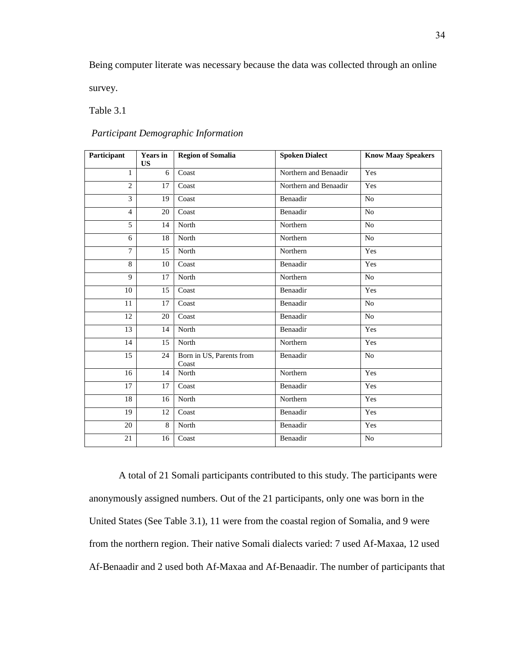Being computer literate was necessary because the data was collected through an online

survey.

Table 3.1

| Participant    | <b>Years</b> in<br><b>US</b> | <b>Region of Somalia</b>          | <b>Spoken Dialect</b> | <b>Know Maay Speakers</b> |
|----------------|------------------------------|-----------------------------------|-----------------------|---------------------------|
| $\mathbf{1}$   | 6                            | Coast                             | Northern and Benaadir | Yes                       |
| $\overline{2}$ | 17                           | Coast                             | Northern and Benaadir | Yes                       |
| 3              | 19                           | Coast                             | Benaadir              | N <sub>o</sub>            |
| $\overline{4}$ | 20                           | Coast                             | Benaadir              | N <sub>o</sub>            |
| 5              | 14                           | North                             | Northern              | N <sub>o</sub>            |
| 6              | 18                           | North                             | Northern              | N <sub>o</sub>            |
| $\overline{7}$ | 15                           | North                             | Northern              | Yes                       |
| 8              | 10                           | Coast                             | Benaadir              | Yes                       |
| 9              | 17                           | North                             | Northern              | N <sub>o</sub>            |
| 10             | 15                           | Coast                             | Benaadir              | Yes                       |
| 11             | 17                           | Coast                             | Benaadir              | N <sub>o</sub>            |
| 12             | 20                           | Coast                             | Benaadir              | No                        |
| 13             | 14                           | North                             | Benaadir              | Yes                       |
| 14             | 15                           | North                             | Northern              | Yes                       |
| 15             | 24                           | Born in US, Parents from<br>Coast | Benaadir              | N <sub>o</sub>            |
| 16             | 14                           | North                             | Northern              | Yes                       |
| 17             | 17                           | Coast                             | Benaadir              | Yes                       |
| 18             | 16                           | North                             | Northern              | Yes                       |
| 19             | 12                           | Coast                             | Benaadir              | Yes                       |
| 20             | 8                            | North                             | Benaadir              | Yes                       |
| 21             | 16                           | Coast                             | Benaadir              | No                        |

*Participant Demographic Information*

A total of 21 Somali participants contributed to this study. The participants were anonymously assigned numbers. Out of the 21 participants, only one was born in the United States (See Table 3.1), 11 were from the coastal region of Somalia, and 9 were from the northern region. Their native Somali dialects varied: 7 used Af-Maxaa, 12 used Af-Benaadir and 2 used both Af-Maxaa and Af-Benaadir. The number of participants that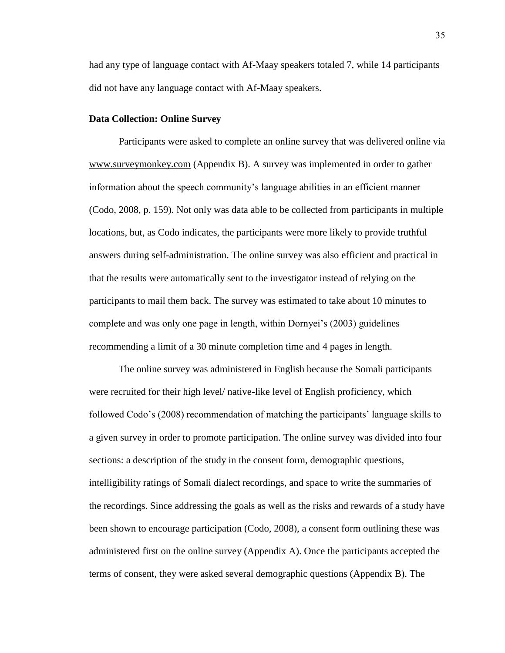had any type of language contact with Af-Maay speakers totaled 7, while 14 participants did not have any language contact with Af-Maay speakers.

#### **Data Collection: Online Survey**

Participants were asked to complete an online survey that was delivered online via [www.surveymonkey.com](http://www.surveymonkey.com/) (Appendix B). A survey was implemented in order to gather information about the speech community"s language abilities in an efficient manner (Codo, 2008, p. 159). Not only was data able to be collected from participants in multiple locations, but, as Codo indicates, the participants were more likely to provide truthful answers during self-administration. The online survey was also efficient and practical in that the results were automatically sent to the investigator instead of relying on the participants to mail them back. The survey was estimated to take about 10 minutes to complete and was only one page in length, within Dornyei"s (2003) guidelines recommending a limit of a 30 minute completion time and 4 pages in length.

The online survey was administered in English because the Somali participants were recruited for their high level/ native-like level of English proficiency, which followed Codo"s (2008) recommendation of matching the participants" language skills to a given survey in order to promote participation. The online survey was divided into four sections: a description of the study in the consent form, demographic questions, intelligibility ratings of Somali dialect recordings, and space to write the summaries of the recordings. Since addressing the goals as well as the risks and rewards of a study have been shown to encourage participation (Codo, 2008), a consent form outlining these was administered first on the online survey (Appendix A). Once the participants accepted the terms of consent, they were asked several demographic questions (Appendix B). The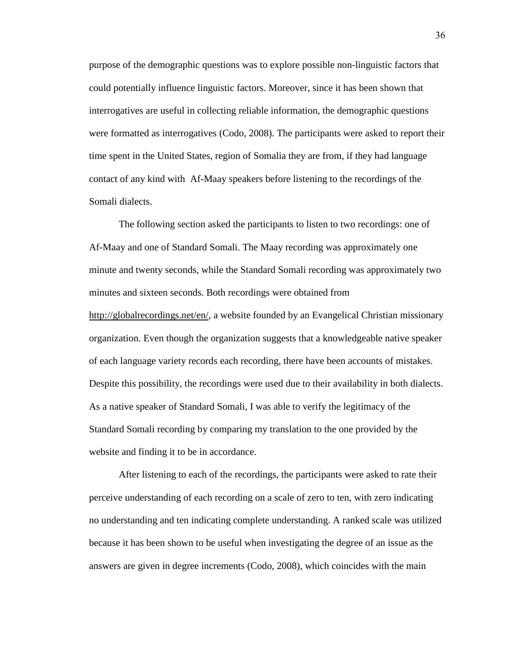purpose of the demographic questions was to explore possible non-linguistic factors that could potentially influence linguistic factors. Moreover, since it has been shown that interrogatives are useful in collecting reliable information, the demographic questions were formatted as interrogatives (Codo, 2008). The participants were asked to report their time spent in the United States, region of Somalia they are from, if they had language contact of any kind with Af-Maay speakers before listening to the recordings of the Somali dialects.

The following section asked the participants to listen to two recordings: one of Af-Maay and one of Standard Somali. The Maay recording was approximately one minute and twenty seconds, while the Standard Somali recording was approximately two minutes and sixteen seconds. Both recordings were obtained from [http://globalrecordings.net/en/,](http://globalrecordings.net/en/) a website founded by an Evangelical Christian missionary organization. Even though the organization suggests that a knowledgeable native speaker of each language variety records each recording, there have been accounts of mistakes. Despite this possibility, the recordings were used due to their availability in both dialects. As a native speaker of Standard Somali, I was able to verify the legitimacy of the Standard Somali recording by comparing my translation to the one provided by the website and finding it to be in accordance.

After listening to each of the recordings, the participants were asked to rate their perceive understanding of each recording on a scale of zero to ten, with zero indicating no understanding and ten indicating complete understanding. A ranked scale was utilized because it has been shown to be useful when investigating the degree of an issue as the answers are given in degree increments (Codo, 2008), which coincides with the main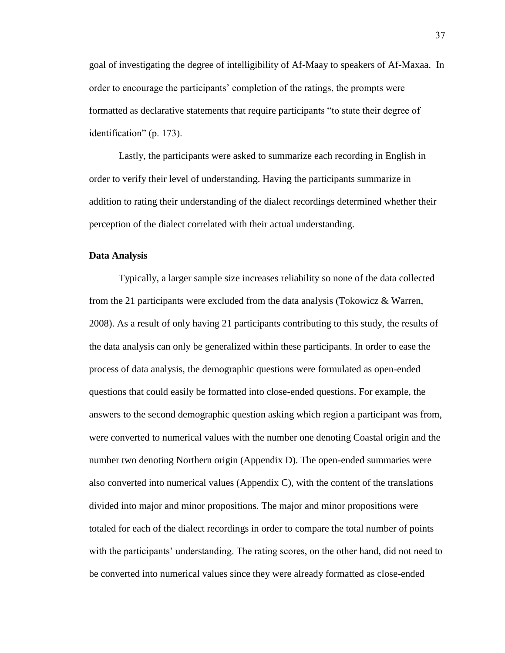goal of investigating the degree of intelligibility of Af-Maay to speakers of Af-Maxaa. In order to encourage the participants" completion of the ratings, the prompts were formatted as declarative statements that require participants "to state their degree of identification" (p. 173).

Lastly, the participants were asked to summarize each recording in English in order to verify their level of understanding. Having the participants summarize in addition to rating their understanding of the dialect recordings determined whether their perception of the dialect correlated with their actual understanding.

#### **Data Analysis**

Typically, a larger sample size increases reliability so none of the data collected from the 21 participants were excluded from the data analysis (Tokowicz & Warren, 2008). As a result of only having 21 participants contributing to this study, the results of the data analysis can only be generalized within these participants. In order to ease the process of data analysis, the demographic questions were formulated as open-ended questions that could easily be formatted into close-ended questions. For example, the answers to the second demographic question asking which region a participant was from, were converted to numerical values with the number one denoting Coastal origin and the number two denoting Northern origin (Appendix D). The open-ended summaries were also converted into numerical values (Appendix C), with the content of the translations divided into major and minor propositions. The major and minor propositions were totaled for each of the dialect recordings in order to compare the total number of points with the participants' understanding. The rating scores, on the other hand, did not need to be converted into numerical values since they were already formatted as close-ended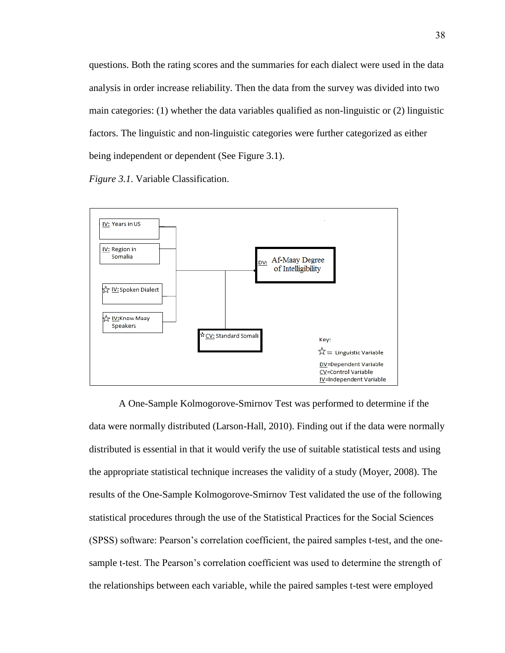questions. Both the rating scores and the summaries for each dialect were used in the data analysis in order increase reliability. Then the data from the survey was divided into two main categories: (1) whether the data variables qualified as non-linguistic or (2) linguistic factors. The linguistic and non-linguistic categories were further categorized as either being independent or dependent (See Figure 3.1).

*Figure 3.1*. Variable Classification.



A One-Sample Kolmogorove-Smirnov Test was performed to determine if the data were normally distributed (Larson-Hall, 2010). Finding out if the data were normally distributed is essential in that it would verify the use of suitable statistical tests and using the appropriate statistical technique increases the validity of a study (Moyer, 2008). The results of the One-Sample Kolmogorove-Smirnov Test validated the use of the following statistical procedures through the use of the Statistical Practices for the Social Sciences (SPSS) software: Pearson"s correlation coefficient, the paired samples t-test, and the onesample t-test. The Pearson"s correlation coefficient was used to determine the strength of the relationships between each variable, while the paired samples t-test were employed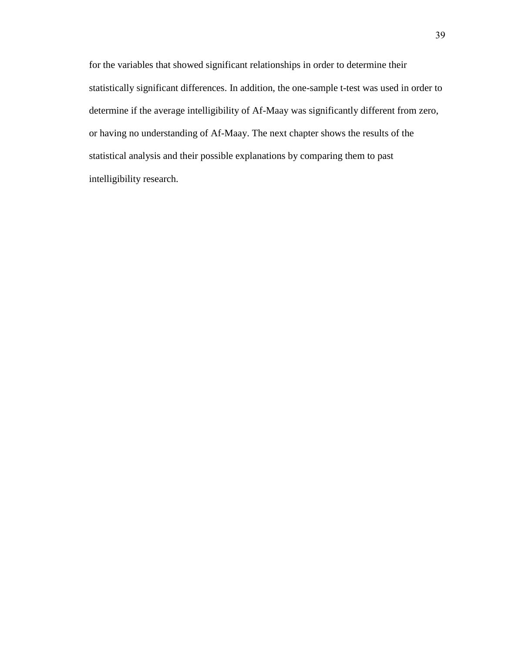for the variables that showed significant relationships in order to determine their statistically significant differences. In addition, the one-sample t-test was used in order to determine if the average intelligibility of Af-Maay was significantly different from zero, or having no understanding of Af-Maay. The next chapter shows the results of the statistical analysis and their possible explanations by comparing them to past intelligibility research.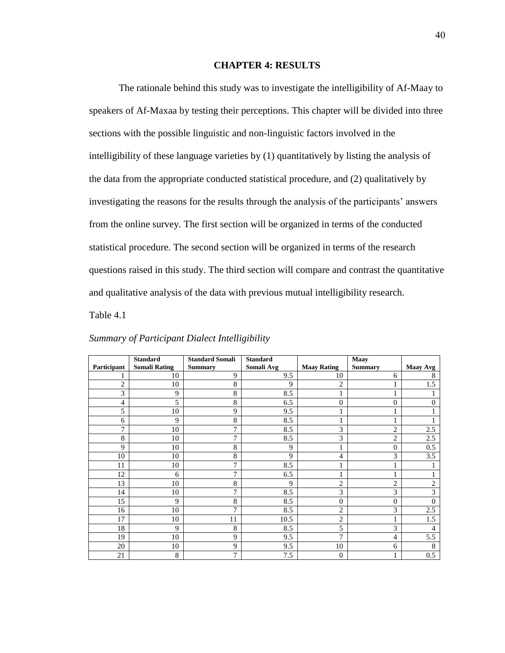#### **CHAPTER 4: RESULTS**

The rationale behind this study was to investigate the intelligibility of Af-Maay to speakers of Af-Maxaa by testing their perceptions. This chapter will be divided into three sections with the possible linguistic and non-linguistic factors involved in the intelligibility of these language varieties by (1) quantitatively by listing the analysis of the data from the appropriate conducted statistical procedure, and (2) qualitatively by investigating the reasons for the results through the analysis of the participants' answers from the online survey. The first section will be organized in terms of the conducted statistical procedure. The second section will be organized in terms of the research questions raised in this study. The third section will compare and contrast the quantitative and qualitative analysis of the data with previous mutual intelligibility research.

Table 4.1

|                | <b>Standard</b>      | <b>Standard Somali</b> | <b>Standard</b> |                    | <b>Maay</b>    |                 |
|----------------|----------------------|------------------------|-----------------|--------------------|----------------|-----------------|
| Participant    | <b>Somali Rating</b> | <b>Summary</b>         | Somali Avg      | <b>Maay Rating</b> | <b>Summary</b> | <b>Maay Avg</b> |
|                | 10                   | 9                      | 9.5             | 10                 | 6              | 8               |
| $\overline{2}$ | 10                   | 8                      | 9               | $\overline{2}$     |                | 1.5             |
| 3              | 9                    | 8                      | 8.5             | 1                  |                |                 |
| 4              | 5                    | 8                      | 6.5             | $\overline{0}$     | $\overline{0}$ | $\Omega$        |
| 5              | 10                   | 9                      | 9.5             |                    |                |                 |
| 6              | 9                    | 8                      | 8.5             |                    |                |                 |
| 7              | 10                   | 7                      | 8.5             | 3                  | $\overline{2}$ | 2.5             |
| 8              | 10                   | 7                      | 8.5             | 3                  | $\overline{c}$ | 2.5             |
| 9              | 10                   | 8                      | 9               | 1                  | $\Omega$       | 0.5             |
| 10             | 10                   | 8                      | 9               | 4                  | 3              | 3.5             |
| 11             | 10                   | 7                      | 8.5             |                    |                |                 |
| 12             | 6                    | 7                      | 6.5             |                    |                |                 |
| 13             | 10                   | 8                      | 9               | $\overline{c}$     | $\overline{2}$ | $\overline{c}$  |
| 14             | 10                   | 7                      | 8.5             | 3                  | 3              | 3               |
| 15             | 9                    | 8                      | 8.5             | $\overline{0}$     | $\mathbf{0}$   | $\Omega$        |
| 16             | 10                   | 7                      | 8.5             | $\overline{c}$     | 3              | 2.5             |
| 17             | 10                   | 11                     | 10.5            | $\overline{c}$     |                | 1.5             |
| 18             | 9                    | 8                      | 8.5             | 5                  | 3              | 4               |
| 19             | 10                   | 9                      | 9.5             | 7                  | 4              | 5.5             |
| 20             | 10                   | 9                      | 9.5             | 10                 | 6              | 8               |
| 21             | 8                    | 7                      | 7.5             | $\overline{0}$     | 1              | 0.5             |

### *Summary of Participant Dialect Intelligibility*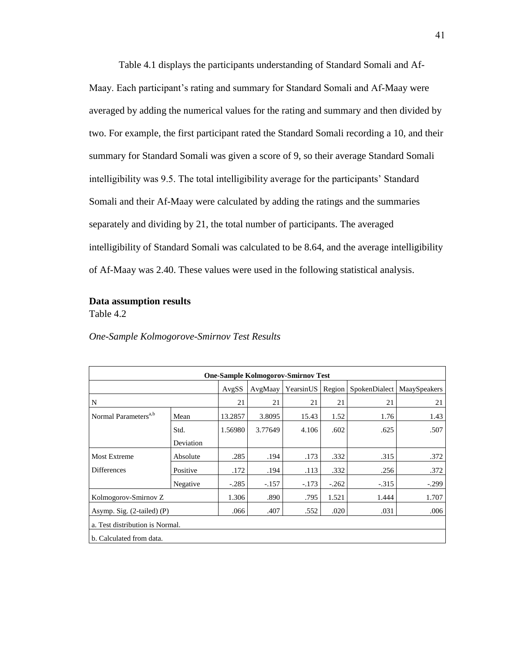Table 4.1 displays the participants understanding of Standard Somali and Af-Maay. Each participant's rating and summary for Standard Somali and Af-Maay were averaged by adding the numerical values for the rating and summary and then divided by two. For example, the first participant rated the Standard Somali recording a 10, and their summary for Standard Somali was given a score of 9, so their average Standard Somali intelligibility was 9.5. The total intelligibility average for the participants" Standard Somali and their Af-Maay were calculated by adding the ratings and the summaries separately and dividing by 21, the total number of participants. The averaged intelligibility of Standard Somali was calculated to be 8.64, and the average intelligibility of Af-Maay was 2.40. These values were used in the following statistical analysis.

### **Data assumption results**

Table 4.2

|  |  | One-Sample Kolmogorove-Smirnov Test Results |  |  |
|--|--|---------------------------------------------|--|--|
|--|--|---------------------------------------------|--|--|

| <b>One-Sample Kolmogorov-Smirnov Test</b> |                                 |         |         |           |         |         |                              |  |
|-------------------------------------------|---------------------------------|---------|---------|-----------|---------|---------|------------------------------|--|
|                                           |                                 | AvgSS   | AvgMaay | YearsinUS | Region  |         | SpokenDialect   MaaySpeakers |  |
| N                                         |                                 | 21      | 21      | 21        | 21      | 21      | 21                           |  |
| Normal Parameters <sup>a,b</sup>          | Mean                            | 13.2857 | 3.8095  | 15.43     | 1.52    | 1.76    | 1.43                         |  |
|                                           | Std.                            | 1.56980 | 3.77649 | 4.106     | .602    | .625    | .507                         |  |
|                                           | Deviation                       |         |         |           |         |         |                              |  |
| <b>Most Extreme</b>                       | Absolute                        | .285    | .194    | .173      | .332    | .315    | .372                         |  |
| <b>Differences</b>                        | Positive                        | .172    | .194    | .113      | .332    | .256    | .372                         |  |
|                                           | Negative                        | $-.285$ | $-.157$ | $-.173$   | $-.262$ | $-.315$ | $-.299$                      |  |
| Kolmogorov-Smirnov Z                      |                                 | 1.306   | .890    | .795      | 1.521   | 1.444   | 1.707                        |  |
| Asymp. Sig. (2-tailed) (P)                | .066                            | .407    | .552    | .020      | .031    | .006    |                              |  |
|                                           | a. Test distribution is Normal. |         |         |           |         |         |                              |  |
| b. Calculated from data.                  |                                 |         |         |           |         |         |                              |  |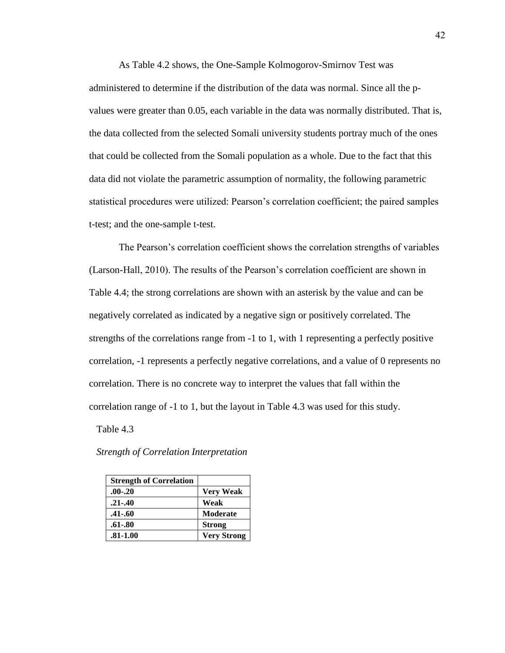As Table 4.2 shows, the One-Sample Kolmogorov-Smirnov Test was administered to determine if the distribution of the data was normal. Since all the pvalues were greater than 0.05, each variable in the data was normally distributed. That is, the data collected from the selected Somali university students portray much of the ones that could be collected from the Somali population as a whole. Due to the fact that this data did not violate the parametric assumption of normality, the following parametric statistical procedures were utilized: Pearson's correlation coefficient; the paired samples t-test; and the one-sample t-test.

The Pearson"s correlation coefficient shows the correlation strengths of variables (Larson-Hall, 2010). The results of the Pearson"s correlation coefficient are shown in Table 4.4; the strong correlations are shown with an asterisk by the value and can be negatively correlated as indicated by a negative sign or positively correlated. The strengths of the correlations range from -1 to 1, with 1 representing a perfectly positive correlation, -1 represents a perfectly negative correlations, and a value of 0 represents no correlation. There is no concrete way to interpret the values that fall within the correlation range of -1 to 1, but the layout in Table 4.3 was used for this study.

Table 4.3

| <b>Strength of Correlation</b> |                    |
|--------------------------------|--------------------|
| $.00 - .20$                    | Very Weak          |
| $.21 - .40$                    | Weak               |
| $.41 - .60$                    | <b>Moderate</b>    |
| $.61 - .80$                    | <b>Strong</b>      |
| $.81 - 1.00$                   | <b>Very Strong</b> |

 *Strength of Correlation Interpretation*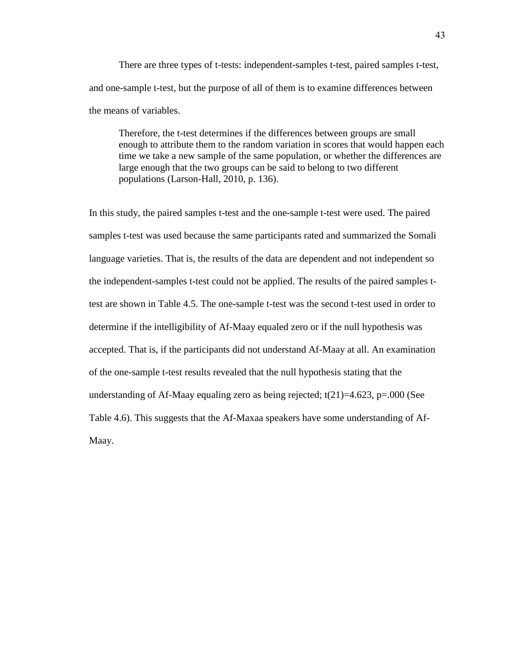There are three types of t-tests: independent-samples t-test, paired samples t-test, and one-sample t-test, but the purpose of all of them is to examine differences between the means of variables.

Therefore, the t-test determines if the differences between groups are small enough to attribute them to the random variation in scores that would happen each time we take a new sample of the same population, or whether the differences are large enough that the two groups can be said to belong to two different populations (Larson-Hall, 2010, p. 136).

In this study, the paired samples t-test and the one-sample t-test were used. The paired samples t-test was used because the same participants rated and summarized the Somali language varieties. That is, the results of the data are dependent and not independent so the independent-samples t-test could not be applied. The results of the paired samples ttest are shown in Table 4.5. The one-sample t-test was the second t-test used in order to determine if the intelligibility of Af-Maay equaled zero or if the null hypothesis was accepted. That is, if the participants did not understand Af-Maay at all. An examination of the one-sample t-test results revealed that the null hypothesis stating that the understanding of Af-Maay equaling zero as being rejected;  $t(21)=4.623$ ,  $p=.000$  (See Table 4.6). This suggests that the Af-Maxaa speakers have some understanding of Af-Maay.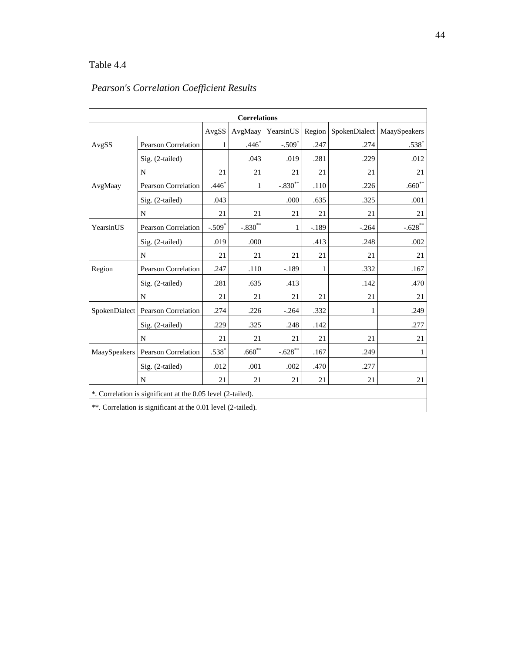| <b>Correlations</b> |                                                              |          |             |           |        |                                                   |                  |  |  |  |
|---------------------|--------------------------------------------------------------|----------|-------------|-----------|--------|---------------------------------------------------|------------------|--|--|--|
|                     |                                                              | AvgSS    | AvgMaay     |           |        | YearsinUS   Region   SpokenDialect   MaaySpeakers |                  |  |  |  |
| AvgSS               | Pearson Correlation                                          | 1        | $.446*$     | $-.509*$  | .247   | .274                                              | $.538^{\degree}$ |  |  |  |
|                     | Sig. (2-tailed)                                              |          | .043        | .019      | .281   | .229                                              | .012             |  |  |  |
|                     | $\mathbf N$                                                  | 21       | 21          | 21        | 21     | 21                                                | 21               |  |  |  |
| AvgMaay             | Pearson Correlation                                          | $.446*$  | 1           | $-.830**$ | .110   | .226                                              | $.660**$         |  |  |  |
|                     | Sig. (2-tailed)                                              | .043     |             | .000      | .635   | .325                                              | .001             |  |  |  |
|                     | N                                                            | 21       | 21          | 21        | 21     | 21                                                | 21               |  |  |  |
| YearsinUS           | <b>Pearson Correlation</b>                                   | $-.509*$ | $-.830**$   | 1         | $-189$ | $-.264$                                           | $-0.628$ **      |  |  |  |
|                     | Sig. (2-tailed)                                              | .019     | .000        |           | .413   | .248                                              | .002             |  |  |  |
|                     | N                                                            | 21       | 21          | 21        | 21     | 21                                                | 21               |  |  |  |
| Region              | <b>Pearson Correlation</b>                                   | .247     | .110        | $-.189$   | 1      | .332                                              | .167             |  |  |  |
|                     | Sig. (2-tailed)                                              | .281     | .635        | .413      |        | .142                                              | .470             |  |  |  |
|                     | N                                                            | 21       | 21          | 21        | 21     | 21                                                | 21               |  |  |  |
|                     | SpokenDialect   Pearson Correlation                          | .274     | .226        | $-.264$   | .332   | 1                                                 | .249             |  |  |  |
|                     | Sig. (2-tailed)                                              | .229     | .325        | .248      | .142   |                                                   | .277             |  |  |  |
|                     | $\mathbf N$                                                  | 21       | 21          | 21        | 21     | 21                                                | 21               |  |  |  |
| MaaySpeakers        | Pearson Correlation                                          | $.538*$  | $.660^{**}$ | $-.628**$ | .167   | .249                                              | 1                |  |  |  |
|                     | $Sig. (2-tailed)$                                            | .012     | .001        | .002      | .470   | .277                                              |                  |  |  |  |
|                     | $\mathbf N$                                                  | 21       | 21          | 21        | 21     | 21                                                | 21               |  |  |  |
|                     | *. Correlation is significant at the 0.05 level (2-tailed).  |          |             |           |        |                                                   |                  |  |  |  |
|                     | **. Correlation is significant at the 0.01 level (2-tailed). |          |             |           |        |                                                   |                  |  |  |  |

## *Pearson's Correlation Coefficient Results*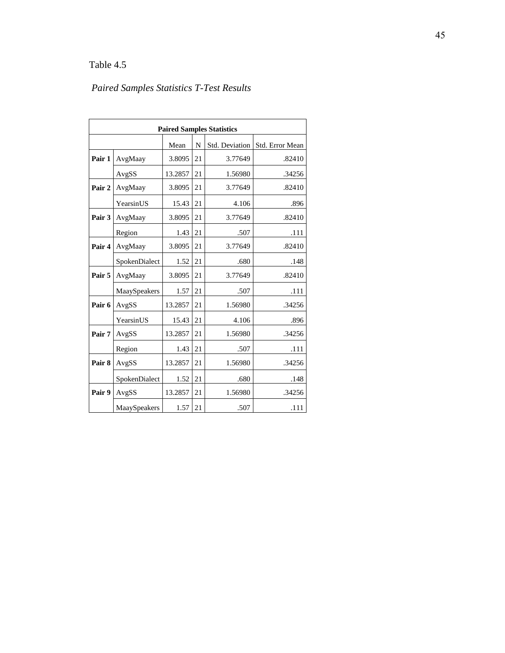# *Paired Samples Statistics T-Test Results*

| <b>Paired Samples Statistics</b> |               |         |    |                |                 |  |  |  |  |
|----------------------------------|---------------|---------|----|----------------|-----------------|--|--|--|--|
|                                  |               | Mean    | N  | Std. Deviation | Std. Error Mean |  |  |  |  |
| Pair 1                           | AvgMaay       | 3.8095  | 21 | 3.77649        | .82410          |  |  |  |  |
|                                  | AvgSS         | 13.2857 | 21 | 1.56980        | .34256          |  |  |  |  |
| Pair 2                           | AvgMaay       | 3.8095  | 21 | 3.77649        | .82410          |  |  |  |  |
|                                  | YearsinUS     | 15.43   | 21 | 4.106          | .896            |  |  |  |  |
| Pair 3                           | AvgMaay       | 3.8095  | 21 | 3.77649        | .82410          |  |  |  |  |
|                                  | Region        | 1.43    | 21 | .507           | .111            |  |  |  |  |
| Pair 4                           | AvgMaay       | 3.8095  | 21 | 3.77649        | .82410          |  |  |  |  |
|                                  | SpokenDialect | 1.52    | 21 | .680           | .148            |  |  |  |  |
| Pair 5                           | AvgMaay       | 3.8095  | 21 | 3.77649        | .82410          |  |  |  |  |
|                                  | MaaySpeakers  | 1.57    | 21 | .507           | .111            |  |  |  |  |
| Pair 6                           | AvgSS         | 13.2857 | 21 | 1.56980        | .34256          |  |  |  |  |
|                                  | YearsinUS     | 15.43   | 21 | 4.106          | .896            |  |  |  |  |
| Pair 7                           | AvgSS         | 13.2857 | 21 | 1.56980        | .34256          |  |  |  |  |
|                                  | Region        | 1.43    | 21 | .507           | .111            |  |  |  |  |
| Pair 8                           | AvgSS         | 13.2857 | 21 | 1.56980        | .34256          |  |  |  |  |
|                                  | SpokenDialect | 1.52    | 21 | .680           | .148            |  |  |  |  |
| Pair 9                           | AvgSS         | 13.2857 | 21 | 1.56980        | .34256          |  |  |  |  |
|                                  | MaaySpeakers  | 1.57    | 21 | .507           | .111            |  |  |  |  |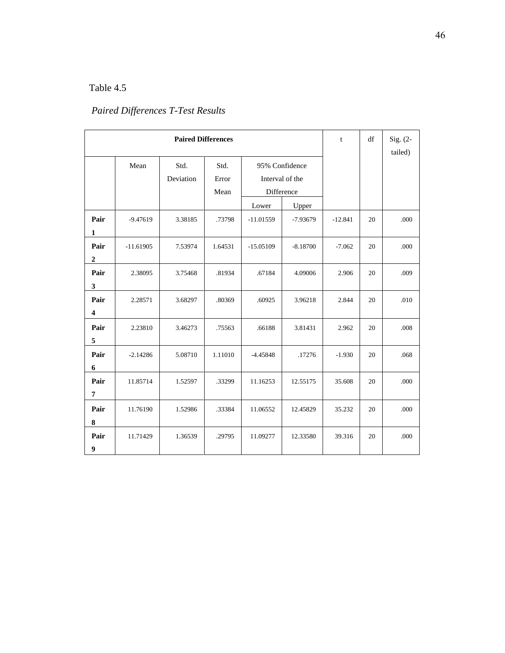# *Paired Differences T-Test Results*

|                         |             | t         | df      | Sig. $(2-$      |            |           |    |         |
|-------------------------|-------------|-----------|---------|-----------------|------------|-----------|----|---------|
|                         | Mean        | Std.      | Std.    | 95% Confidence  |            |           |    | tailed) |
|                         |             | Deviation | Error   | Interval of the |            |           |    |         |
|                         |             |           | Mean    | Difference      |            |           |    |         |
|                         |             |           |         |                 |            |           |    |         |
|                         |             |           |         | Lower           | Upper      |           |    |         |
| Pair                    | $-9.47619$  | 3.38185   | .73798  | $-11.01559$     | $-7.93679$ | $-12.841$ | 20 | .000    |
| $\mathbf{1}$            |             |           |         |                 |            |           |    |         |
| Pair                    | $-11.61905$ | 7.53974   | 1.64531 | $-15.05109$     | $-8.18700$ | $-7.062$  | 20 | .000    |
| $\overline{2}$          |             |           |         |                 |            |           |    |         |
| Pair                    | 2.38095     | 3.75468   | .81934  | .67184          | 4.09006    | 2.906     | 20 | .009    |
| 3                       |             |           |         |                 |            |           |    |         |
| Pair                    | 2.28571     | 3.68297   | .80369  | .60925          | 3.96218    | 2.844     | 20 | .010    |
| $\overline{\mathbf{4}}$ |             |           |         |                 |            |           |    |         |
|                         |             |           |         |                 |            |           |    |         |
| Pair                    | 2.23810     | 3.46273   | .75563  | .66188          | 3.81431    | 2.962     | 20 | .008    |
| 5                       |             |           |         |                 |            |           |    |         |
| Pair                    | $-2.14286$  | 5.08710   | 1.11010 | $-4.45848$      | .17276     | $-1.930$  | 20 | .068    |
| 6                       |             |           |         |                 |            |           |    |         |
| Pair                    | 11.85714    | 1.52597   | .33299  | 11.16253        | 12.55175   | 35.608    | 20 | .000    |
| 7                       |             |           |         |                 |            |           |    |         |
| Pair                    | 11.76190    | 1.52986   | .33384  | 11.06552        | 12.45829   | 35.232    | 20 | .000    |
| 8                       |             |           |         |                 |            |           |    |         |
|                         |             |           |         |                 |            |           |    |         |
| Pair                    | 11.71429    | 1.36539   | .29795  | 11.09277        | 12.33580   | 39.316    | 20 | .000    |
| 9                       |             |           |         |                 |            |           |    |         |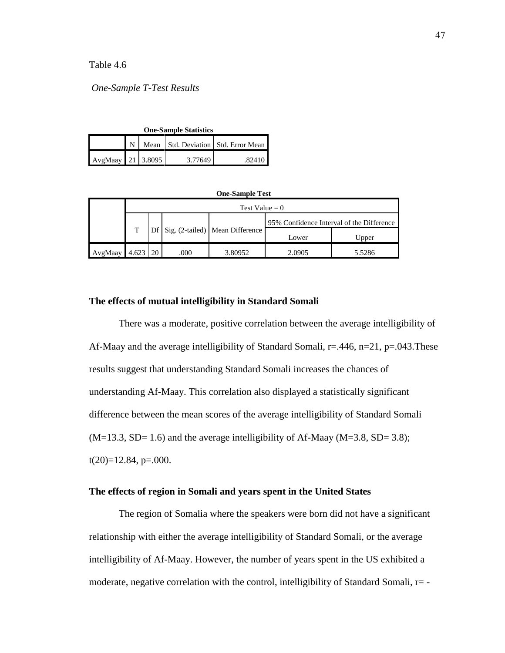*One-Sample T-Test Results*

| <b>One-Sample Statistics</b> |  |  |         |                                       |  |  |  |
|------------------------------|--|--|---------|---------------------------------------|--|--|--|
|                              |  |  |         | N Mean Std. Deviation Std. Error Mean |  |  |  |
| AvgMaay 21 3.8095            |  |  | 3.77649 | .82410                                |  |  |  |

| <b>One-Sample Test</b> |                  |    |      |                                 |                                           |        |  |  |  |  |
|------------------------|------------------|----|------|---------------------------------|-------------------------------------------|--------|--|--|--|--|
|                        | Test Value $= 0$ |    |      |                                 |                                           |        |  |  |  |  |
|                        |                  |    |      |                                 | 95% Confidence Interval of the Difference |        |  |  |  |  |
|                        |                  |    |      | Sig. (2-tailed) Mean Difference | Lower                                     | Upper  |  |  |  |  |
| AvgMaay                |                  | 20 | .000 | 3.80952                         | 2.0905                                    | 5.5286 |  |  |  |  |

#### **The effects of mutual intelligibility in Standard Somali**

There was a moderate, positive correlation between the average intelligibility of Af-Maay and the average intelligibility of Standard Somali,  $r = .446$ ,  $n = 21$ ,  $p = .043$ . These results suggest that understanding Standard Somali increases the chances of understanding Af-Maay. This correlation also displayed a statistically significant difference between the mean scores of the average intelligibility of Standard Somali  $(M=13.3, SD= 1.6)$  and the average intelligibility of Af-Maay  $(M=3.8, SD= 3.8)$ ;  $t(20)=12.84$ , p=.000.

## **The effects of region in Somali and years spent in the United States**

The region of Somalia where the speakers were born did not have a significant relationship with either the average intelligibility of Standard Somali, or the average intelligibility of Af-Maay. However, the number of years spent in the US exhibited a moderate, negative correlation with the control, intelligibility of Standard Somali,  $r = -$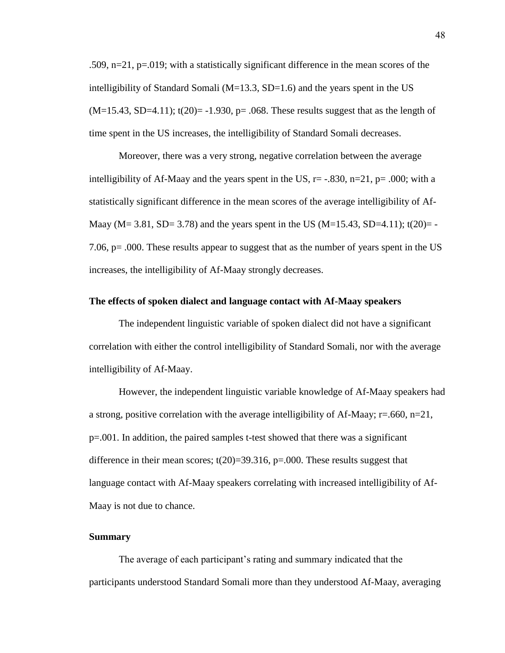.509, n=21, p=.019; with a statistically significant difference in the mean scores of the intelligibility of Standard Somali ( $M=13.3$ , SD=1.6) and the years spent in the US  $(M=15.43, SD=4.11)$ ; t(20) = -1.930, p= .068. These results suggest that as the length of time spent in the US increases, the intelligibility of Standard Somali decreases.

Moreover, there was a very strong, negative correlation between the average intelligibility of Af-Maay and the years spent in the US,  $r = -.830$ ,  $n=21$ ,  $p = .000$ ; with a statistically significant difference in the mean scores of the average intelligibility of Af-Maay (M= 3.81, SD= 3.78) and the years spent in the US (M=15.43, SD=4.11); t(20)= -7.06, p= .000. These results appear to suggest that as the number of years spent in the US increases, the intelligibility of Af-Maay strongly decreases.

#### **The effects of spoken dialect and language contact with Af-Maay speakers**

The independent linguistic variable of spoken dialect did not have a significant correlation with either the control intelligibility of Standard Somali, nor with the average intelligibility of Af-Maay.

However, the independent linguistic variable knowledge of Af-Maay speakers had a strong, positive correlation with the average intelligibility of Af-Maay;  $r = .660$ ,  $n = 21$ , p=.001. In addition, the paired samples t-test showed that there was a significant difference in their mean scores;  $t(20)=39.316$ ,  $p=.000$ . These results suggest that language contact with Af-Maay speakers correlating with increased intelligibility of Af-Maay is not due to chance.

#### **Summary**

The average of each participant's rating and summary indicated that the participants understood Standard Somali more than they understood Af-Maay, averaging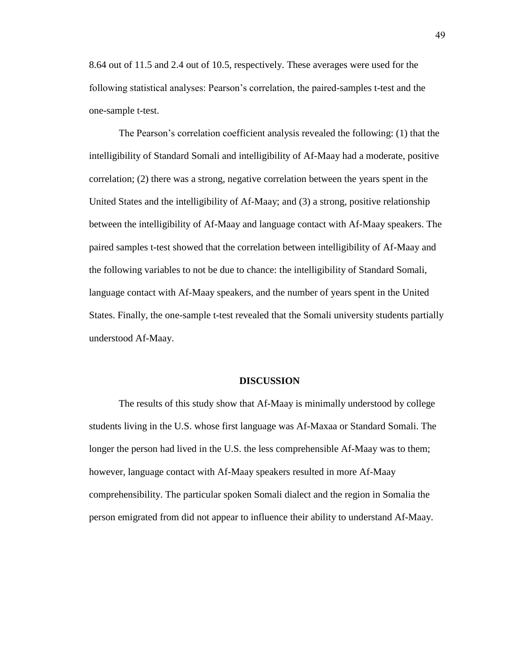8.64 out of 11.5 and 2.4 out of 10.5, respectively. These averages were used for the following statistical analyses: Pearson's correlation, the paired-samples t-test and the one-sample t-test.

The Pearson's correlation coefficient analysis revealed the following: (1) that the intelligibility of Standard Somali and intelligibility of Af-Maay had a moderate, positive correlation; (2) there was a strong, negative correlation between the years spent in the United States and the intelligibility of Af-Maay; and (3) a strong, positive relationship between the intelligibility of Af-Maay and language contact with Af-Maay speakers. The paired samples t-test showed that the correlation between intelligibility of Af-Maay and the following variables to not be due to chance: the intelligibility of Standard Somali, language contact with Af-Maay speakers, and the number of years spent in the United States. Finally, the one-sample t-test revealed that the Somali university students partially understood Af-Maay.

#### **DISCUSSION**

The results of this study show that Af-Maay is minimally understood by college students living in the U.S. whose first language was Af-Maxaa or Standard Somali. The longer the person had lived in the U.S. the less comprehensible Af-Maay was to them; however, language contact with Af-Maay speakers resulted in more Af-Maay comprehensibility. The particular spoken Somali dialect and the region in Somalia the person emigrated from did not appear to influence their ability to understand Af-Maay.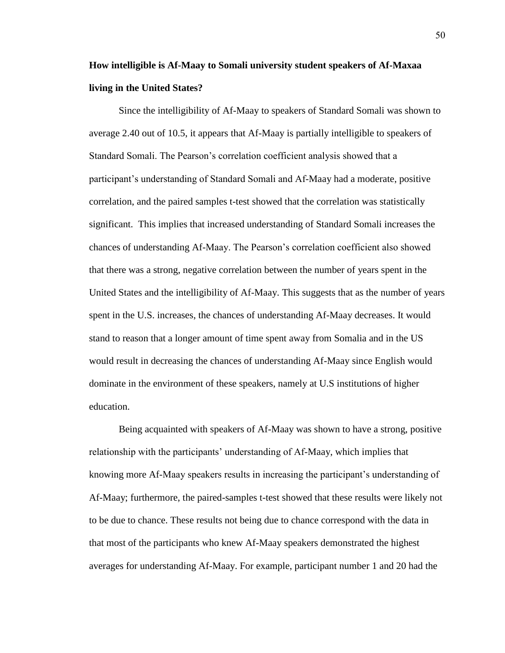# **How intelligible is Af-Maay to Somali university student speakers of Af-Maxaa living in the United States?**

Since the intelligibility of Af-Maay to speakers of Standard Somali was shown to average 2.40 out of 10.5, it appears that Af-Maay is partially intelligible to speakers of Standard Somali. The Pearson"s correlation coefficient analysis showed that a participant"s understanding of Standard Somali and Af-Maay had a moderate, positive correlation, and the paired samples t-test showed that the correlation was statistically significant. This implies that increased understanding of Standard Somali increases the chances of understanding Af-Maay. The Pearson"s correlation coefficient also showed that there was a strong, negative correlation between the number of years spent in the United States and the intelligibility of Af-Maay. This suggests that as the number of years spent in the U.S. increases, the chances of understanding Af-Maay decreases. It would stand to reason that a longer amount of time spent away from Somalia and in the US would result in decreasing the chances of understanding Af-Maay since English would dominate in the environment of these speakers, namely at U.S institutions of higher education.

Being acquainted with speakers of Af-Maay was shown to have a strong, positive relationship with the participants' understanding of Af-Maay, which implies that knowing more Af-Maay speakers results in increasing the participant"s understanding of Af-Maay; furthermore, the paired-samples t-test showed that these results were likely not to be due to chance. These results not being due to chance correspond with the data in that most of the participants who knew Af-Maay speakers demonstrated the highest averages for understanding Af-Maay. For example, participant number 1 and 20 had the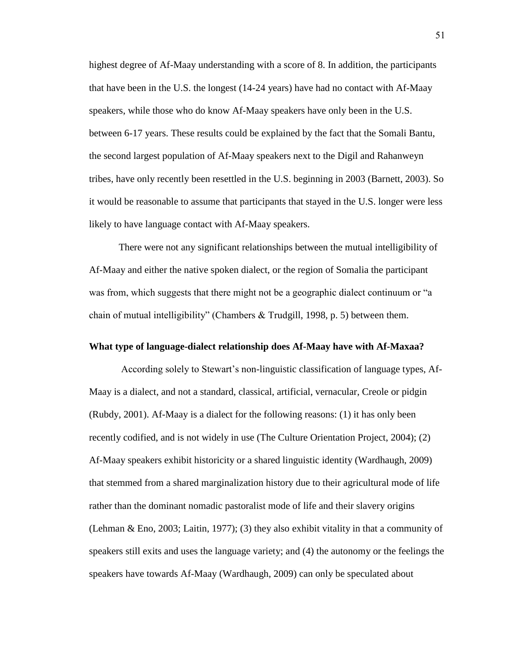highest degree of Af-Maay understanding with a score of 8. In addition, the participants that have been in the U.S. the longest (14-24 years) have had no contact with Af-Maay speakers, while those who do know Af-Maay speakers have only been in the U.S. between 6-17 years. These results could be explained by the fact that the Somali Bantu, the second largest population of Af-Maay speakers next to the Digil and Rahanweyn tribes, have only recently been resettled in the U.S. beginning in 2003 (Barnett, 2003). So it would be reasonable to assume that participants that stayed in the U.S. longer were less likely to have language contact with Af-Maay speakers.

There were not any significant relationships between the mutual intelligibility of Af-Maay and either the native spoken dialect, or the region of Somalia the participant was from, which suggests that there might not be a geographic dialect continuum or "a chain of mutual intelligibility" (Chambers & Trudgill, 1998, p. 5) between them.

#### **What type of language-dialect relationship does Af-Maay have with Af-Maxaa?**

According solely to Stewart"s non-linguistic classification of language types, Af-Maay is a dialect, and not a standard, classical, artificial, vernacular, Creole or pidgin (Rubdy, 2001). Af-Maay is a dialect for the following reasons: (1) it has only been recently codified, and is not widely in use (The Culture Orientation Project, 2004); (2) Af-Maay speakers exhibit historicity or a shared linguistic identity (Wardhaugh, 2009) that stemmed from a shared marginalization history due to their agricultural mode of life rather than the dominant nomadic pastoralist mode of life and their slavery origins (Lehman & Eno, 2003; Laitin, 1977); (3) they also exhibit vitality in that a community of speakers still exits and uses the language variety; and (4) the autonomy or the feelings the speakers have towards Af-Maay (Wardhaugh, 2009) can only be speculated about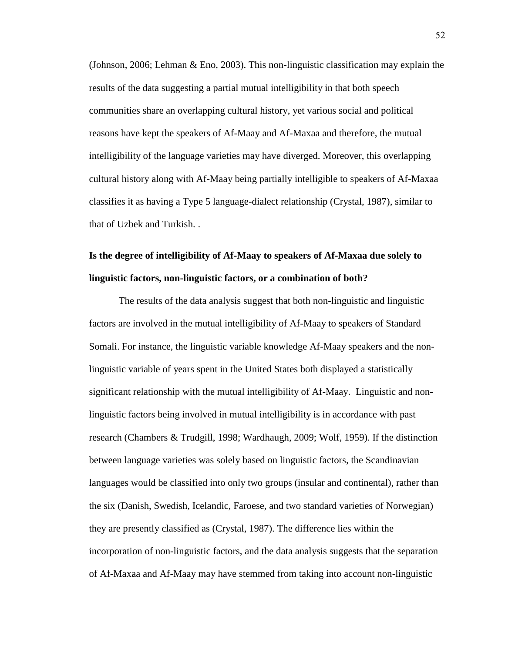(Johnson, 2006; Lehman & Eno, 2003). This non-linguistic classification may explain the results of the data suggesting a partial mutual intelligibility in that both speech communities share an overlapping cultural history, yet various social and political reasons have kept the speakers of Af-Maay and Af-Maxaa and therefore, the mutual intelligibility of the language varieties may have diverged. Moreover, this overlapping cultural history along with Af-Maay being partially intelligible to speakers of Af-Maxaa classifies it as having a Type 5 language-dialect relationship (Crystal, 1987), similar to that of Uzbek and Turkish. .

# **Is the degree of intelligibility of Af-Maay to speakers of Af-Maxaa due solely to linguistic factors, non-linguistic factors, or a combination of both?**

The results of the data analysis suggest that both non-linguistic and linguistic factors are involved in the mutual intelligibility of Af-Maay to speakers of Standard Somali. For instance, the linguistic variable knowledge Af-Maay speakers and the nonlinguistic variable of years spent in the United States both displayed a statistically significant relationship with the mutual intelligibility of Af-Maay. Linguistic and nonlinguistic factors being involved in mutual intelligibility is in accordance with past research (Chambers & Trudgill, 1998; Wardhaugh, 2009; Wolf, 1959). If the distinction between language varieties was solely based on linguistic factors, the Scandinavian languages would be classified into only two groups (insular and continental), rather than the six (Danish, Swedish, Icelandic, Faroese, and two standard varieties of Norwegian) they are presently classified as (Crystal, 1987). The difference lies within the incorporation of non-linguistic factors, and the data analysis suggests that the separation of Af-Maxaa and Af-Maay may have stemmed from taking into account non-linguistic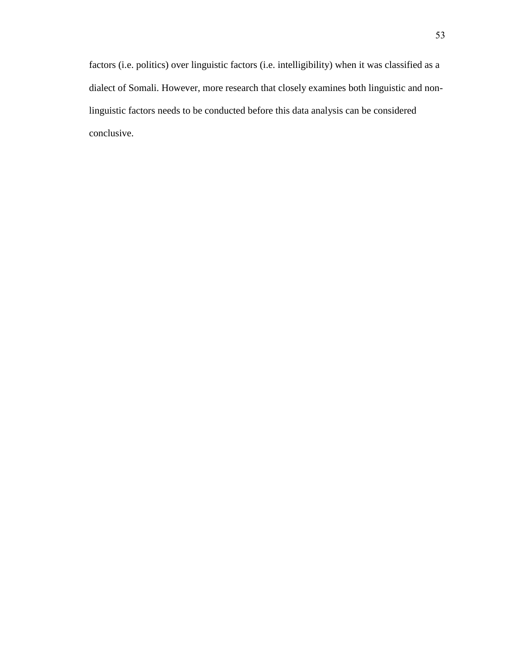factors (i.e. politics) over linguistic factors (i.e. intelligibility) when it was classified as a dialect of Somali. However, more research that closely examines both linguistic and nonlinguistic factors needs to be conducted before this data analysis can be considered conclusive.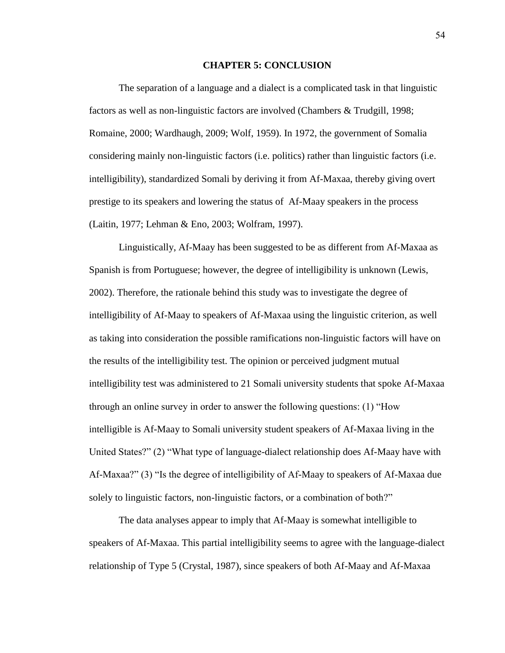#### **CHAPTER 5: CONCLUSION**

The separation of a language and a dialect is a complicated task in that linguistic factors as well as non-linguistic factors are involved (Chambers & Trudgill, 1998; Romaine, 2000; Wardhaugh, 2009; Wolf, 1959). In 1972, the government of Somalia considering mainly non-linguistic factors (i.e. politics) rather than linguistic factors (i.e. intelligibility), standardized Somali by deriving it from Af-Maxaa, thereby giving overt prestige to its speakers and lowering the status of Af-Maay speakers in the process (Laitin, 1977; Lehman & Eno, 2003; Wolfram, 1997).

Linguistically, Af-Maay has been suggested to be as different from Af-Maxaa as Spanish is from Portuguese; however, the degree of intelligibility is unknown (Lewis, 2002). Therefore, the rationale behind this study was to investigate the degree of intelligibility of Af-Maay to speakers of Af-Maxaa using the linguistic criterion, as well as taking into consideration the possible ramifications non-linguistic factors will have on the results of the intelligibility test. The opinion or perceived judgment mutual intelligibility test was administered to 21 Somali university students that spoke Af-Maxaa through an online survey in order to answer the following questions: (1) "How intelligible is Af-Maay to Somali university student speakers of Af-Maxaa living in the United States?" (2) "What type of language-dialect relationship does Af-Maay have with Af-Maxaa?" (3) "Is the degree of intelligibility of Af-Maay to speakers of Af-Maxaa due solely to linguistic factors, non-linguistic factors, or a combination of both?"

The data analyses appear to imply that Af-Maay is somewhat intelligible to speakers of Af-Maxaa. This partial intelligibility seems to agree with the language-dialect relationship of Type 5 (Crystal, 1987), since speakers of both Af-Maay and Af-Maxaa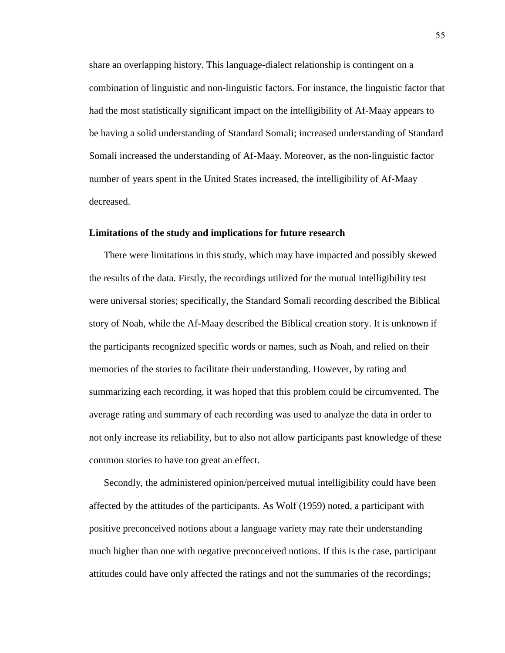share an overlapping history. This language-dialect relationship is contingent on a combination of linguistic and non-linguistic factors. For instance, the linguistic factor that had the most statistically significant impact on the intelligibility of Af-Maay appears to be having a solid understanding of Standard Somali; increased understanding of Standard Somali increased the understanding of Af-Maay. Moreover, as the non-linguistic factor number of years spent in the United States increased, the intelligibility of Af-Maay decreased.

#### **Limitations of the study and implications for future research**

There were limitations in this study, which may have impacted and possibly skewed the results of the data. Firstly, the recordings utilized for the mutual intelligibility test were universal stories; specifically, the Standard Somali recording described the Biblical story of Noah, while the Af-Maay described the Biblical creation story. It is unknown if the participants recognized specific words or names, such as Noah, and relied on their memories of the stories to facilitate their understanding. However, by rating and summarizing each recording, it was hoped that this problem could be circumvented. The average rating and summary of each recording was used to analyze the data in order to not only increase its reliability, but to also not allow participants past knowledge of these common stories to have too great an effect.

Secondly, the administered opinion/perceived mutual intelligibility could have been affected by the attitudes of the participants. As Wolf (1959) noted, a participant with positive preconceived notions about a language variety may rate their understanding much higher than one with negative preconceived notions. If this is the case, participant attitudes could have only affected the ratings and not the summaries of the recordings;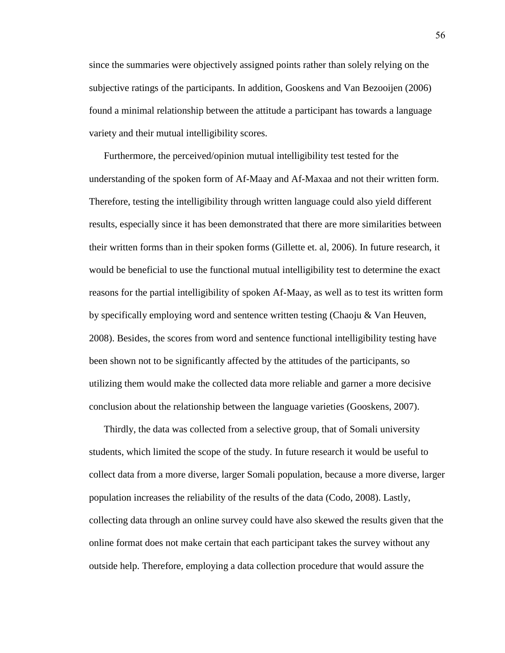since the summaries were objectively assigned points rather than solely relying on the subjective ratings of the participants. In addition, Gooskens and Van Bezooijen (2006) found a minimal relationship between the attitude a participant has towards a language variety and their mutual intelligibility scores.

Furthermore, the perceived/opinion mutual intelligibility test tested for the understanding of the spoken form of Af-Maay and Af-Maxaa and not their written form. Therefore, testing the intelligibility through written language could also yield different results, especially since it has been demonstrated that there are more similarities between their written forms than in their spoken forms (Gillette et. al, 2006). In future research, it would be beneficial to use the functional mutual intelligibility test to determine the exact reasons for the partial intelligibility of spoken Af-Maay, as well as to test its written form by specifically employing word and sentence written testing (Chaoju & Van Heuven, 2008). Besides, the scores from word and sentence functional intelligibility testing have been shown not to be significantly affected by the attitudes of the participants, so utilizing them would make the collected data more reliable and garner a more decisive conclusion about the relationship between the language varieties (Gooskens, 2007).

Thirdly, the data was collected from a selective group, that of Somali university students, which limited the scope of the study. In future research it would be useful to collect data from a more diverse, larger Somali population, because a more diverse, larger population increases the reliability of the results of the data (Codo, 2008). Lastly, collecting data through an online survey could have also skewed the results given that the online format does not make certain that each participant takes the survey without any outside help. Therefore, employing a data collection procedure that would assure the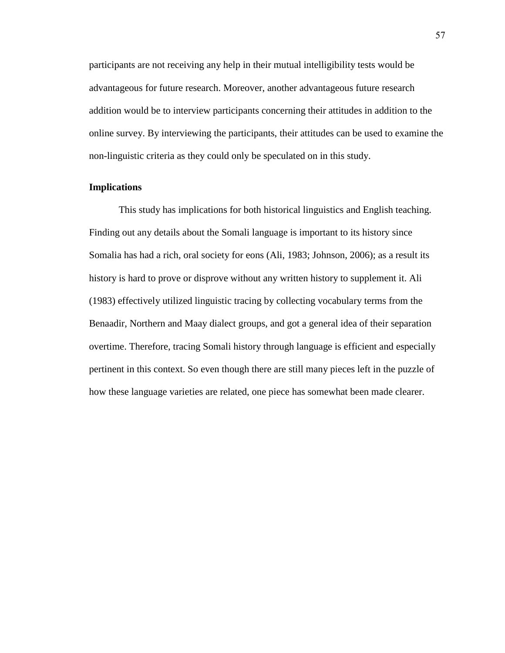participants are not receiving any help in their mutual intelligibility tests would be advantageous for future research. Moreover, another advantageous future research addition would be to interview participants concerning their attitudes in addition to the online survey. By interviewing the participants, their attitudes can be used to examine the non-linguistic criteria as they could only be speculated on in this study.

## **Implications**

This study has implications for both historical linguistics and English teaching. Finding out any details about the Somali language is important to its history since Somalia has had a rich, oral society for eons (Ali, 1983; Johnson, 2006); as a result its history is hard to prove or disprove without any written history to supplement it. Ali (1983) effectively utilized linguistic tracing by collecting vocabulary terms from the Benaadir, Northern and Maay dialect groups, and got a general idea of their separation overtime. Therefore, tracing Somali history through language is efficient and especially pertinent in this context. So even though there are still many pieces left in the puzzle of how these language varieties are related, one piece has somewhat been made clearer.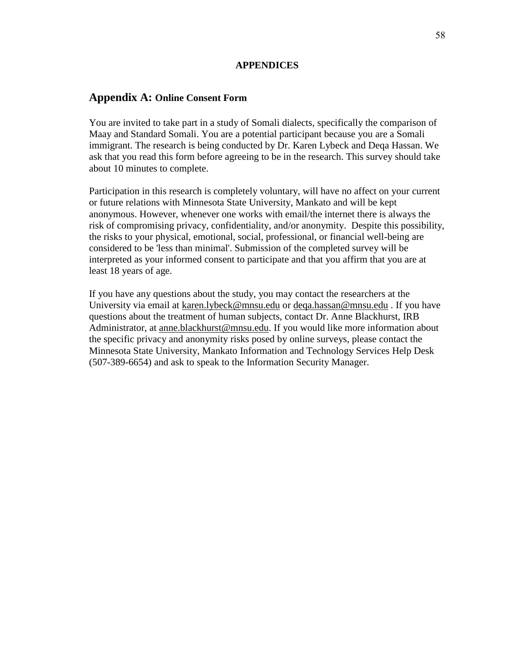#### **APPENDICES**

## **Appendix A: Online Consent Form**

You are invited to take part in a study of Somali dialects, specifically the comparison of Maay and Standard Somali. You are a potential participant because you are a Somali immigrant. The research is being conducted by Dr. Karen Lybeck and Deqa Hassan. We ask that you read this form before agreeing to be in the research. This survey should take about 10 minutes to complete.

Participation in this research is completely voluntary, will have no affect on your current or future relations with Minnesota State University, Mankato and will be kept anonymous. However, whenever one works with email/the internet there is always the risk of compromising privacy, confidentiality, and/or anonymity. Despite this possibility, the risks to your physical, emotional, social, professional, or financial well-being are considered to be 'less than minimal'. Submission of the completed survey will be interpreted as your informed consent to participate and that you affirm that you are at least 18 years of age.

If you have any questions about the study, you may contact the researchers at the University via email at [karen.lybeck@mnsu.edu](mailto:karen.lybeck@mnsu.edu) or [deqa.hassan@mnsu.edu](mailto:deqa.hassan@mnsu.edu) . If you have questions about the treatment of human subjects, contact Dr. Anne Blackhurst, IRB Administrator, at [anne.blackhurst@mnsu.edu.](mailto:anne.blackhurst@mnsu.edu) If you would like more information about the specific privacy and anonymity risks posed by online surveys, please contact the Minnesota State University, Mankato Information and Technology Services Help Desk (507-389-6654) and ask to speak to the Information Security Manager.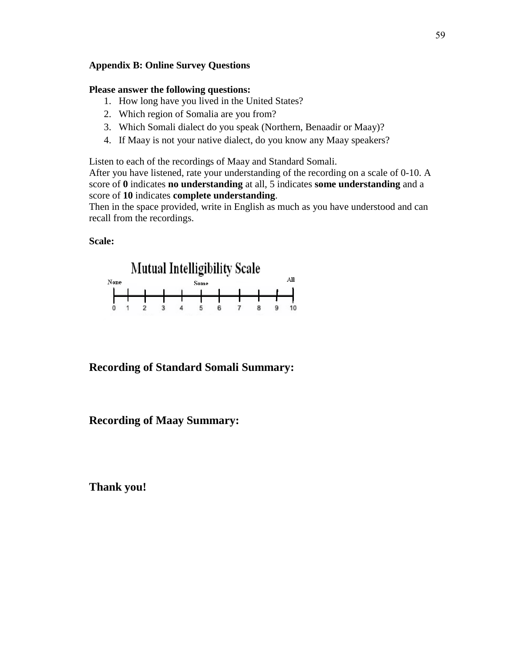## **Appendix B: Online Survey Questions**

#### **Please answer the following questions:**

- 1. How long have you lived in the United States?
- 2. Which region of Somalia are you from?
- 3. Which Somali dialect do you speak (Northern, Benaadir or Maay)?
- 4. If Maay is not your native dialect, do you know any Maay speakers?

Listen to each of the recordings of Maay and Standard Somali.

After you have listened, rate your understanding of the recording on a scale of 0-10. A score of **0** indicates **no understanding** at all, 5 indicates **some understanding** and a score of **10** indicates **complete understanding**.

Then in the space provided, write in English as much as you have understood and can recall from the recordings.

### **Scale:**



## **Recording of Standard Somali Summary:**

## **Recording of Maay Summary:**

**Thank you!**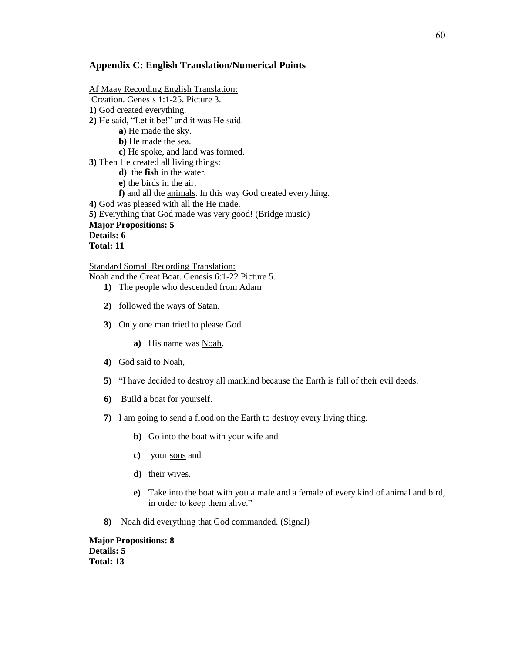#### **Appendix C: English Translation/Numerical Points**

Af Maay Recording English Translation: Creation. Genesis 1:1-25. Picture 3. **1)** God created everything. **2)** He said, "Let it be!" and it was He said. **a)** He made the sky. **b**) He made the sea. **c)** He spoke, and land was formed. **3)** Then He created all living things: **d)** the **fish** in the water, **e)** the birds in the air, **f)** and all the animals. In this way God created everything. **4)** God was pleased with all the He made. **5)** Everything that God made was very good! (Bridge music) **Major Propositions: 5 Details: 6 Total: 11**

Standard Somali Recording Translation:

Noah and the Great Boat. Genesis 6:1-22 Picture 5.

- **1)** The people who descended from Adam
- **2)** followed the ways of Satan.
- **3)** Only one man tried to please God.

**a)** His name was Noah.

- **4)** God said to Noah,
- **5)** "I have decided to destroy all mankind because the Earth is full of their evil deeds.
- **6)** Build a boat for yourself.
- **7)** I am going to send a flood on the Earth to destroy every living thing.
	- **b)** Go into the boat with your wife and
	- **c)** your sons and
	- **d)** their wives.
	- **e**) Take into the boat with you <u>a male and a female of every kind of animal</u> and bird, in order to keep them alive."
- **8)** Noah did everything that God commanded. (Signal)

**Major Propositions: 8 Details: 5 Total: 13**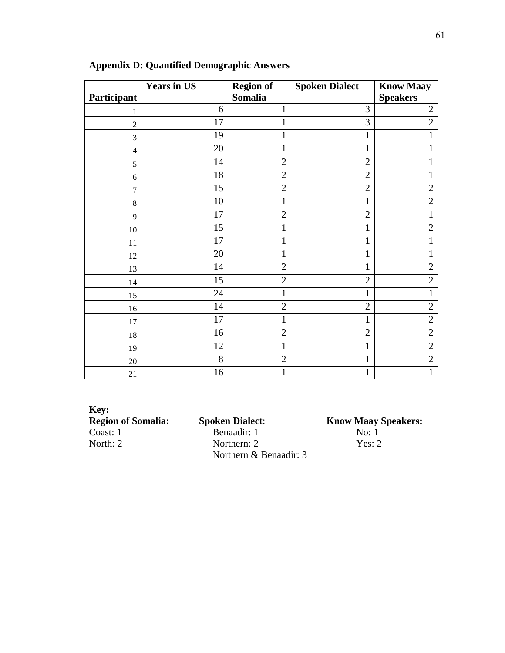|                    | <b>Years in US</b> | <b>Region of</b> | <b>Spoken Dialect</b> | <b>Know Maay</b> |
|--------------------|--------------------|------------------|-----------------------|------------------|
| <b>Participant</b> |                    | Somalia          |                       | <b>Speakers</b>  |
| 1                  | 6                  | 1                | 3                     | $\overline{2}$   |
| $\overline{2}$     | 17                 | $\mathbf 1$      | 3                     | $\overline{2}$   |
| 3                  | 19                 | $\mathbf{1}$     | $\mathbf{1}$          | 1                |
| $\overline{4}$     | 20                 | 1                | $\mathbf{1}$          |                  |
| 5                  | 14                 | $\overline{2}$   | $\overline{2}$        | 1                |
| 6                  | 18                 | $\overline{2}$   | $\overline{2}$        | 1                |
| $\overline{7}$     | 15                 | $\overline{2}$   | $\overline{2}$        | $\overline{2}$   |
| 8                  | 10                 | $\mathbf 1$      | $\mathbf{1}$          | $\overline{2}$   |
| 9                  | 17                 | $\overline{2}$   | $\overline{2}$        | $\mathbf{1}$     |
| 10                 | 15                 | $\mathbf 1$      | 1                     | $\overline{2}$   |
| 11                 | 17                 | $\mathbf{1}$     | $\mathbf{1}$          | 1                |
| 12                 | 20                 | $\mathbf{1}$     | $\mathbf{1}$          | 1                |
| 13                 | 14                 | $\overline{2}$   | $\mathbf{1}$          | $\overline{2}$   |
| 14                 | 15                 | $\overline{2}$   | $\overline{2}$        | $\overline{2}$   |
| 15                 | 24                 | 1                | $\mathbf{1}$          |                  |
| 16                 | 14                 | $\overline{2}$   | $\overline{2}$        | $\overline{2}$   |
| 17                 | 17                 | $\mathbf{1}$     | $\mathbf{1}$          | $\overline{2}$   |
| 18                 | 16                 | $\overline{2}$   | $\overline{2}$        | $\overline{2}$   |
| 19                 | 12                 | $\mathbf 1$      | $\mathbf{1}$          | $\overline{2}$   |
| 20                 | 8                  | $\overline{2}$   | $\mathbf{1}$          | $\overline{2}$   |
| 21                 | 16                 | $\mathbf 1$      | $\mathbf{1}$          | 1                |

# **Appendix D: Quantified Demographic Answers**

**Key:** Coast: 1 Benaadir: 1

**Region Spoken Dialect: Know Maay Speakers: Region Speakers: Region Speakers: No:** 1 North: 2 Yes: 2 Northern & Benaadir: 3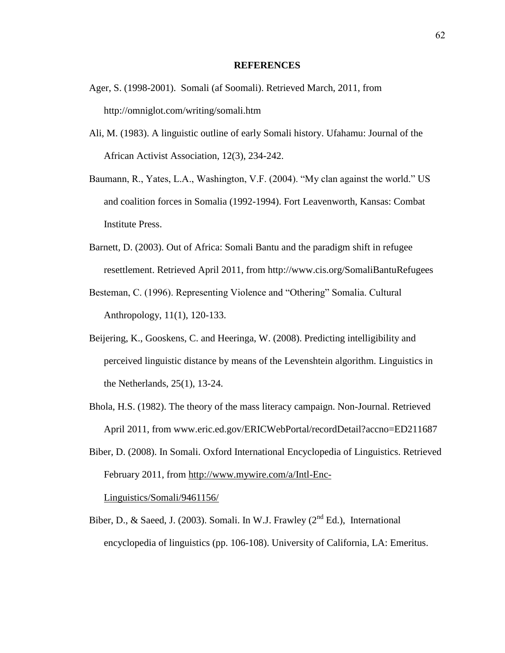#### **REFERENCES**

- Ager, S. (1998-2001). Somali (af Soomali). Retrieved March, 2011, from http://omniglot.com/writing/somali.htm
- Ali, M. (1983). A linguistic outline of early Somali history. Ufahamu: Journal of the African Activist Association, 12(3), 234-242.
- Baumann, R., Yates, L.A., Washington, V.F. (2004). "My clan against the world." US and coalition forces in Somalia (1992-1994). Fort Leavenworth, Kansas: Combat Institute Press.
- Barnett, D. (2003). Out of Africa: Somali Bantu and the paradigm shift in refugee resettlement. Retrieved April 2011, from http://www.cis.org/SomaliBantuRefugees
- Besteman, C. (1996). Representing Violence and "Othering" Somalia. Cultural Anthropology, 11(1), 120-133.
- Beijering, K., Gooskens, C. and Heeringa, W. (2008). Predicting intelligibility and perceived linguistic distance by means of the Levenshtein algorithm. Linguistics in the Netherlands, 25(1), 13-24.
- Bhola, H.S. (1982). The theory of the mass literacy campaign. Non-Journal. Retrieved April 2011, from www.eric.ed.gov/ERICWebPortal/recordDetail?accno=ED211687
- Biber, D. (2008). In Somali. Oxford International Encyclopedia of Linguistics. Retrieved February 2011, from [http://www.mywire.com/a/Intl-Enc-](http://www.mywire.com/a/Intl-Enc-Linguistics/Somali/9461156/)

[Linguistics/Somali/9461156/](http://www.mywire.com/a/Intl-Enc-Linguistics/Somali/9461156/)

Biber, D., & Saeed, J. (2003). Somali. In W.J. Frawley ( $2<sup>nd</sup> Ed$ .), International encyclopedia of linguistics (pp. 106-108). University of California, LA: Emeritus.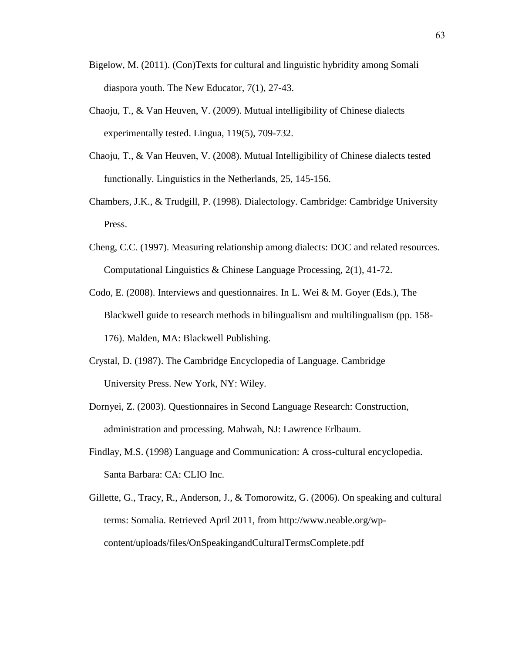- Bigelow, M. (2011). (Con)Texts for cultural and linguistic hybridity among Somali diaspora youth. The New Educator, 7(1), 27-43.
- Chaoju, T., & Van Heuven, V. (2009). Mutual intelligibility of Chinese dialects experimentally tested. Lingua, 119(5), 709-732.
- Chaoju, T., & Van Heuven, V. (2008). Mutual Intelligibility of Chinese dialects tested functionally. Linguistics in the Netherlands, 25, 145-156.
- Chambers, J.K., & Trudgill, P. (1998). Dialectology. Cambridge: Cambridge University Press.
- Cheng, C.C. (1997). Measuring relationship among dialects: DOC and related resources. Computational Linguistics & Chinese Language Processing, 2(1), 41-72.
- Codo, E. (2008). Interviews and questionnaires. In L. Wei & M. Goyer (Eds.), The Blackwell guide to research methods in bilingualism and multilingualism (pp. 158- 176). Malden, MA: Blackwell Publishing.
- Crystal, D. (1987). The Cambridge Encyclopedia of Language. Cambridge University Press. New York, NY: Wiley.
- Dornyei, Z. (2003). Questionnaires in Second Language Research: Construction, administration and processing. Mahwah, NJ: Lawrence Erlbaum.
- Findlay, M.S. (1998) Language and Communication: A cross-cultural encyclopedia. Santa Barbara: CA: CLIO Inc.
- Gillette, G., Tracy, R., Anderson, J., & Tomorowitz, G. (2006). On speaking and cultural terms: Somalia. Retrieved April 2011, from http://www.neable.org/wpcontent/uploads/files/OnSpeakingandCulturalTermsComplete.pdf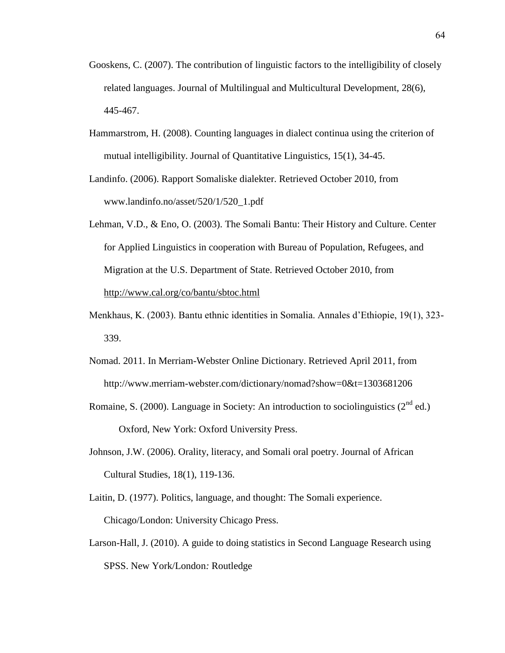- Gooskens, C. (2007). The contribution of linguistic factors to the intelligibility of closely related languages. Journal of Multilingual and Multicultural Development, 28(6), 445-467.
- Hammarstrom, H. (2008). Counting languages in dialect continua using the criterion of mutual intelligibility. Journal of Quantitative Linguistics, 15(1), 34-45.
- Landinfo. (2006). Rapport Somaliske dialekter. Retrieved October 2010, from www.landinfo.no/asset/520/1/520\_1.pdf
- Lehman, V.D., & Eno, O. (2003). The Somali Bantu: Their History and Culture. Center for Applied Linguistics in cooperation with Bureau of Population, Refugees, and Migration at the U.S. Department of State. Retrieved October 2010, from <http://www.cal.org/co/bantu/sbtoc.html>
- Menkhaus, K. (2003). Bantu ethnic identities in Somalia. Annales d"Ethiopie, 19(1), 323- 339.
- Nomad. 2011. In Merriam-Webster Online Dictionary. Retrieved April 2011, from http://www.merriam-webster.com/dictionary/nomad?show=0&t=1303681206
- Romaine, S. (2000). Language in Society: An introduction to sociolinguistics ( $2^{nd}$  ed.) Oxford, New York: Oxford University Press.
- Johnson, J.W. (2006). Orality, literacy, and Somali oral poetry. Journal of African Cultural Studies, 18(1), 119-136.
- Laitin, D. (1977). Politics, language, and thought: The Somali experience. Chicago/London: University Chicago Press.
- Larson-Hall, J. (2010). A guide to doing statistics in Second Language Research using SPSS. New York/London*:* Routledge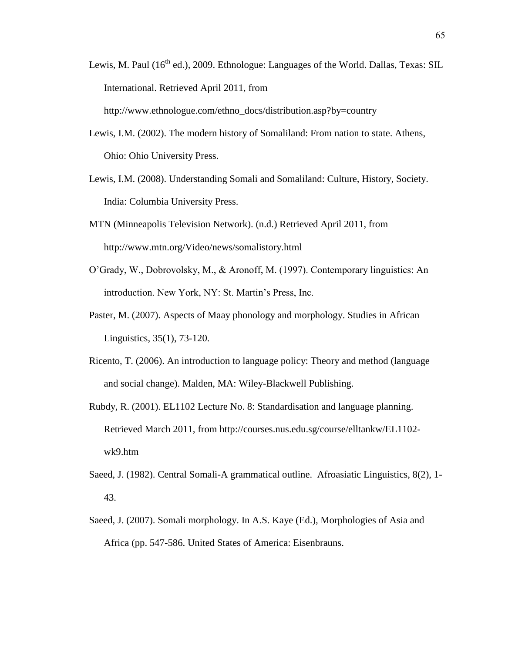- Lewis, M. Paul  $(16<sup>th</sup>$  ed.), 2009. Ethnologue: Languages of the World. Dallas, Texas: SIL International. Retrieved April 2011, from http://www.ethnologue.com/ethno\_docs/distribution.asp?by=country
- Lewis, I.M. (2002). The modern history of Somaliland: From nation to state. Athens, Ohio: Ohio University Press.
- Lewis, I.M. (2008). Understanding Somali and Somaliland: Culture, History, Society. India: Columbia University Press.
- MTN (Minneapolis Television Network). (n.d.) Retrieved April 2011, from http://www.mtn.org/Video/news/somalistory.html
- O"Grady, W., Dobrovolsky, M., & Aronoff, M. (1997). Contemporary linguistics: An introduction. New York, NY: St. Martin"s Press, Inc.
- Paster, M. (2007). Aspects of Maay phonology and morphology. Studies in African Linguistics, 35(1), 73-120.
- Ricento, T. (2006). An introduction to language policy: Theory and method (language and social change). Malden, MA: Wiley-Blackwell Publishing.
- Rubdy, R. (2001). EL1102 Lecture No. 8: Standardisation and language planning. Retrieved March 2011, from http://courses.nus.edu.sg/course/elltankw/EL1102 wk9.htm
- Saeed, J. (1982). Central Somali-A grammatical outline. Afroasiatic Linguistics, 8(2), 1- 43.
- Saeed, J. (2007). Somali morphology. In A.S. Kaye (Ed.), Morphologies of Asia and Africa (pp. 547-586. United States of America: Eisenbrauns.